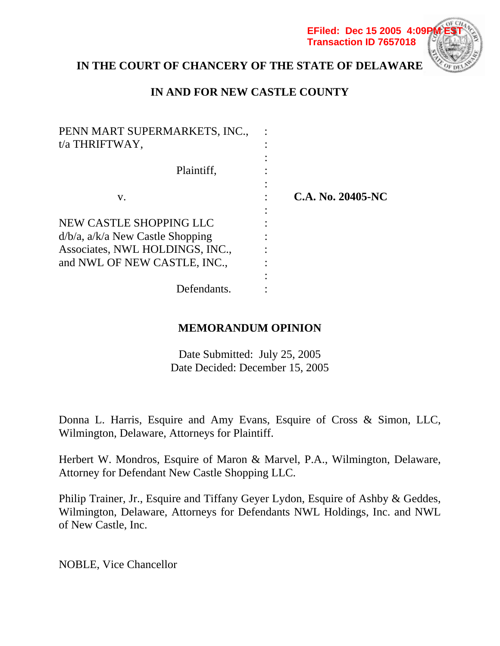**EFiled: Dec 15 2005 4:09P Transaction ID 7657018**



# **IN THE COURT OF CHANCERY OF THE STATE OF DELAWARE**

# **IN AND FOR NEW CASTLE COUNTY**

| PENN MART SUPERMARKETS, INC.,<br>t/a THRIFTWAY,                          |                   |
|--------------------------------------------------------------------------|-------------------|
| Plaintiff,                                                               |                   |
| V.                                                                       | C.A. No. 20405-NC |
| NEW CASTLE SHOPPING LLC                                                  |                   |
| $d/b/a$ , $a/k/a$ New Castle Shopping<br>Associates, NWL HOLDINGS, INC., |                   |
| and NWL OF NEW CASTLE, INC.,                                             |                   |
| Defendants.                                                              |                   |

## **MEMORANDUM OPINION**

Date Submitted: July 25, 2005 Date Decided: December 15, 2005

Donna L. Harris, Esquire and Amy Evans, Esquire of Cross & Simon, LLC, Wilmington, Delaware, Attorneys for Plaintiff.

Herbert W. Mondros, Esquire of Maron & Marvel, P.A., Wilmington, Delaware, Attorney for Defendant New Castle Shopping LLC.

Philip Trainer, Jr., Esquire and Tiffany Geyer Lydon, Esquire of Ashby & Geddes, Wilmington, Delaware, Attorneys for Defendants NWL Holdings, Inc. and NWL of New Castle, Inc.

NOBLE, Vice Chancellor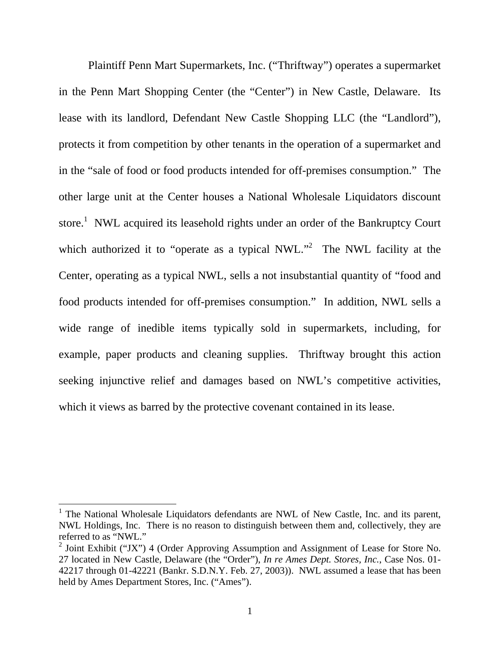Plaintiff Penn Mart Supermarkets, Inc. ("Thriftway") operates a supermarket in the Penn Mart Shopping Center (the "Center") in New Castle, Delaware. Its lease with its landlord, Defendant New Castle Shopping LLC (the "Landlord"), protects it from competition by other tenants in the operation of a supermarket and in the "sale of food or food products intended for off-premises consumption." The other large unit at the Center houses a National Wholesale Liquidators discount store.<sup>1</sup> NWL acquired its leasehold rights under an order of the Bankruptcy Court which authorized it to "operate as a typical NWL."<sup>2</sup> The NWL facility at the Center, operating as a typical NWL, sells a not insubstantial quantity of "food and food products intended for off-premises consumption." In addition, NWL sells a wide range of inedible items typically sold in supermarkets, including, for example, paper products and cleaning supplies. Thriftway brought this action seeking injunctive relief and damages based on NWL's competitive activities, which it views as barred by the protective covenant contained in its lease.

<sup>&</sup>lt;sup>1</sup> The National Wholesale Liquidators defendants are NWL of New Castle, Inc. and its parent, NWL Holdings, Inc. There is no reason to distinguish between them and, collectively, they are referred to as "NWL."

<sup>&</sup>lt;sup>2</sup> Joint Exhibit ("JX") 4 (Order Approving Assumption and Assignment of Lease for Store No. 27 located in New Castle, Delaware (the "Order"), *In re Ames Dept. Stores, Inc.*, Case Nos. 01- 42217 through 01-42221 (Bankr. S.D.N.Y. Feb. 27, 2003)).NWL assumed a lease that has been held by Ames Department Stores, Inc. ("Ames").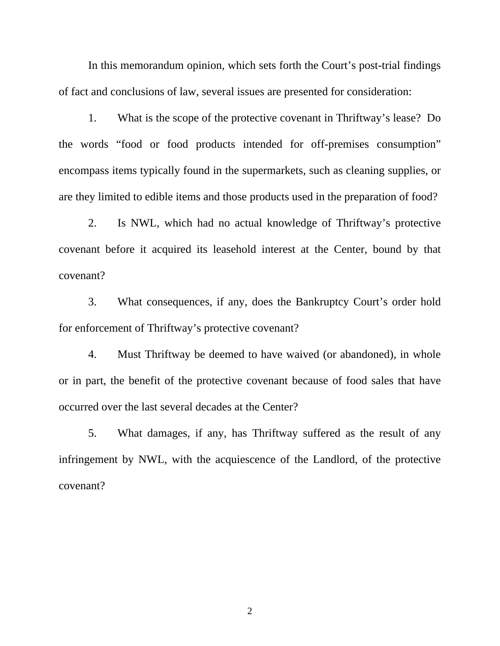In this memorandum opinion, which sets forth the Court's post-trial findings of fact and conclusions of law, several issues are presented for consideration:

 1. What is the scope of the protective covenant in Thriftway's lease? Do the words "food or food products intended for off-premises consumption" encompass items typically found in the supermarkets, such as cleaning supplies, or are they limited to edible items and those products used in the preparation of food?

 2. Is NWL, which had no actual knowledge of Thriftway's protective covenant before it acquired its leasehold interest at the Center, bound by that covenant?

 3. What consequences, if any, does the Bankruptcy Court's order hold for enforcement of Thriftway's protective covenant?

 4. Must Thriftway be deemed to have waived (or abandoned), in whole or in part, the benefit of the protective covenant because of food sales that have occurred over the last several decades at the Center?

 5. What damages, if any, has Thriftway suffered as the result of any infringement by NWL, with the acquiescence of the Landlord, of the protective covenant?

2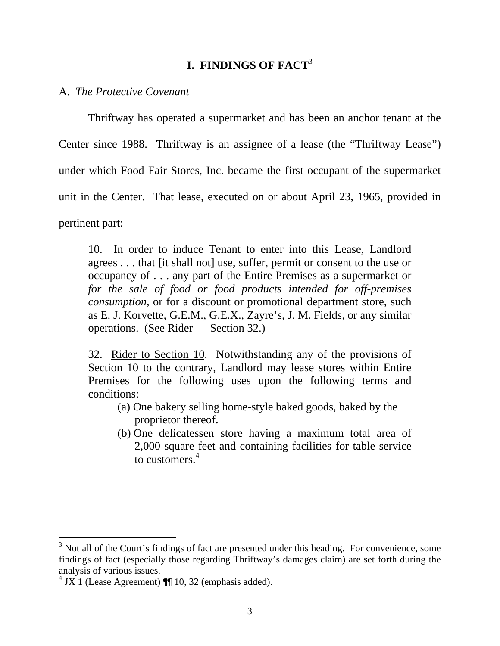## **I. FINDINGS OF FACT**<sup>3</sup>

### A. *The Protective Covenant*

Thriftway has operated a supermarket and has been an anchor tenant at the Center since 1988. Thriftway is an assignee of a lease (the "Thriftway Lease") under which Food Fair Stores, Inc. became the first occupant of the supermarket unit in the Center. That lease, executed on or about April 23, 1965, provided in pertinent part:

10. In order to induce Tenant to enter into this Lease, Landlord agrees . . . that [it shall not] use, suffer, permit or consent to the use or occupancy of . . . any part of the Entire Premises as a supermarket or *for the sale of food or food products intended for off-premises consumption*, or for a discount or promotional department store, such as E. J. Korvette, G.E.M., G.E.X., Zayre's, J. M. Fields, or any similar operations. (See Rider — Section 32.)

32. Rider to Section 10. Notwithstanding any of the provisions of Section 10 to the contrary, Landlord may lease stores within Entire Premises for the following uses upon the following terms and conditions:

- (a) One bakery selling home-style baked goods, baked by the proprietor thereof.
- (b) One delicatessen store having a maximum total area of 2,000 square feet and containing facilities for table service to customers $<sup>4</sup>$ </sup>

 $3$  Not all of the Court's findings of fact are presented under this heading. For convenience, some findings of fact (especially those regarding Thriftway's damages claim) are set forth during the analysis of various issues.

 $4 \text{ JX}$  1 (Lease Agreement) ¶ 10, 32 (emphasis added).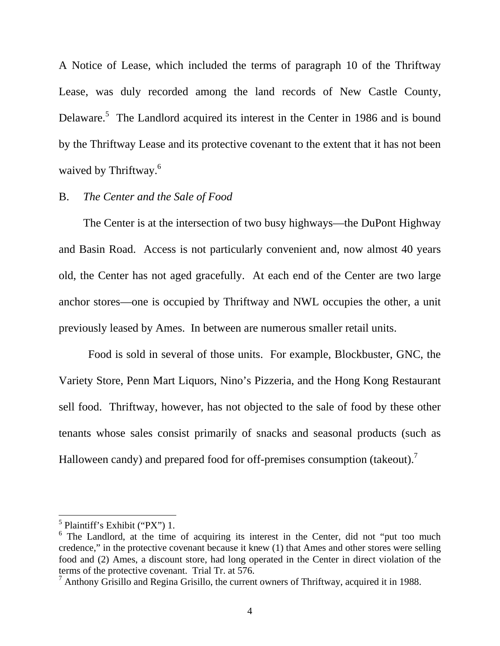A Notice of Lease, which included the terms of paragraph 10 of the Thriftway Lease, was duly recorded among the land records of New Castle County, Delaware.<sup>5</sup> The Landlord acquired its interest in the Center in 1986 and is bound by the Thriftway Lease and its protective covenant to the extent that it has not been waived by Thriftway.<sup>6</sup>

### B. *The Center and the Sale of Food*

The Center is at the intersection of two busy highways—the DuPont Highway and Basin Road. Access is not particularly convenient and, now almost 40 years old, the Center has not aged gracefully. At each end of the Center are two large anchor stores—one is occupied by Thriftway and NWL occupies the other, a unit previously leased by Ames. In between are numerous smaller retail units.

 Food is sold in several of those units. For example, Blockbuster, GNC, the Variety Store, Penn Mart Liquors, Nino's Pizzeria, and the Hong Kong Restaurant sell food. Thriftway, however, has not objected to the sale of food by these other tenants whose sales consist primarily of snacks and seasonal products (such as Halloween candy) and prepared food for off-premises consumption (takeout).<sup>7</sup>

 5 Plaintiff's Exhibit ("PX") 1.

<sup>&</sup>lt;sup>6</sup> The Landlord, at the time of acquiring its interest in the Center, did not "put too much credence," in the protective covenant because it knew (1) that Ames and other stores were selling food and (2) Ames, a discount store, had long operated in the Center in direct violation of the terms of the protective covenant. Trial Tr. at 576.

 $^7$  Anthony Grisillo and Regina Grisillo, the current owners of Thriftway, acquired it in 1988.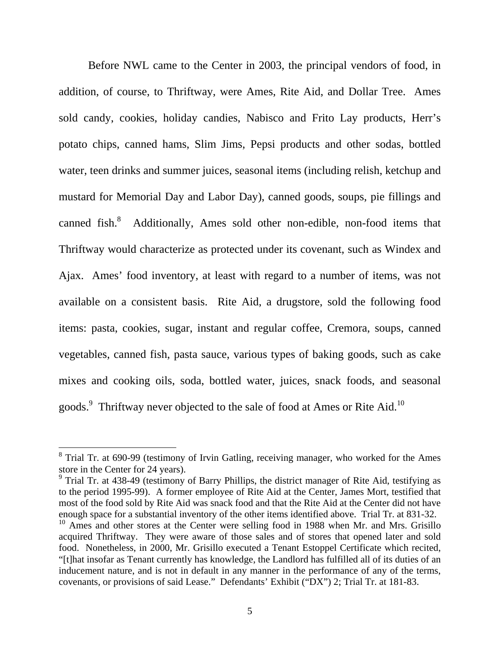Before NWL came to the Center in 2003, the principal vendors of food, in addition, of course, to Thriftway, were Ames, Rite Aid, and Dollar Tree. Ames sold candy, cookies, holiday candies, Nabisco and Frito Lay products, Herr's potato chips, canned hams, Slim Jims, Pepsi products and other sodas, bottled water, teen drinks and summer juices, seasonal items (including relish, ketchup and mustard for Memorial Day and Labor Day), canned goods, soups, pie fillings and canned fish.<sup>8</sup> Additionally, Ames sold other non-edible, non-food items that Thriftway would characterize as protected under its covenant, such as Windex and Ajax. Ames' food inventory, at least with regard to a number of items, was not available on a consistent basis. Rite Aid, a drugstore, sold the following food items: pasta, cookies, sugar, instant and regular coffee, Cremora, soups, canned vegetables, canned fish, pasta sauce, various types of baking goods, such as cake mixes and cooking oils, soda, bottled water, juices, snack foods, and seasonal goods.<sup>9</sup> Thriftway never objected to the sale of food at Ames or Rite Aid.<sup>10</sup>

<sup>&</sup>lt;sup>8</sup> Trial Tr. at 690-99 (testimony of Irvin Gatling, receiving manager, who worked for the Ames store in the Center for 24 years).

<sup>&</sup>lt;sup>9</sup> Trial Tr. at 438-49 (testimony of Barry Phillips, the district manager of Rite Aid, testifying as to the period 1995-99). A former employee of Rite Aid at the Center, James Mort, testified that most of the food sold by Rite Aid was snack food and that the Rite Aid at the Center did not have enough space for a substantial inventory of the other items identified above. Trial Tr. at 831-32.

 $10$  Ames and other stores at the Center were selling food in 1988 when Mr. and Mrs. Grisillo acquired Thriftway. They were aware of those sales and of stores that opened later and sold food. Nonetheless, in 2000, Mr. Grisillo executed a Tenant Estoppel Certificate which recited, "[t]hat insofar as Tenant currently has knowledge, the Landlord has fulfilled all of its duties of an inducement nature, and is not in default in any manner in the performance of any of the terms, covenants, or provisions of said Lease." Defendants' Exhibit ("DX") 2; Trial Tr. at 181-83.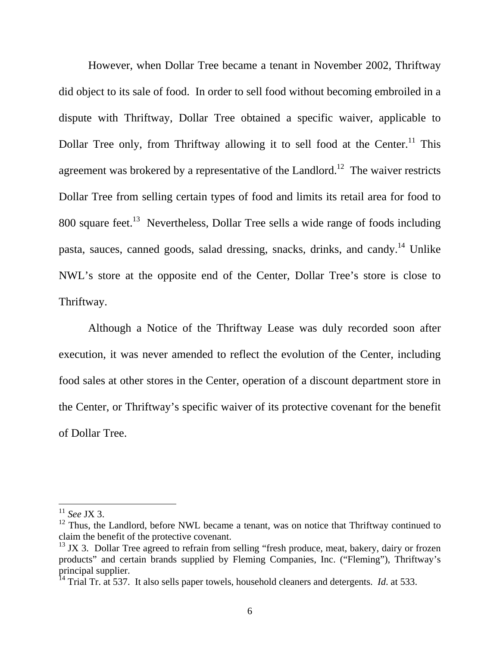However, when Dollar Tree became a tenant in November 2002, Thriftway did object to its sale of food. In order to sell food without becoming embroiled in a dispute with Thriftway, Dollar Tree obtained a specific waiver, applicable to Dollar Tree only, from Thriftway allowing it to sell food at the Center.<sup>11</sup> This agreement was brokered by a representative of the Landlord.<sup>12</sup> The waiver restricts Dollar Tree from selling certain types of food and limits its retail area for food to 800 square feet.<sup>13</sup> Nevertheless, Dollar Tree sells a wide range of foods including pasta, sauces, canned goods, salad dressing, snacks, drinks, and candy.<sup>14</sup> Unlike NWL's store at the opposite end of the Center, Dollar Tree's store is close to Thriftway.

Although a Notice of the Thriftway Lease was duly recorded soon after execution, it was never amended to reflect the evolution of the Center, including food sales at other stores in the Center, operation of a discount department store in the Center, or Thriftway's specific waiver of its protective covenant for the benefit of Dollar Tree.

<sup>11</sup> *See* JX 3.

 $12$  Thus, the Landlord, before NWL became a tenant, was on notice that Thriftway continued to claim the benefit of the protective covenant.

 $13$  JX 3. Dollar Tree agreed to refrain from selling "fresh produce, meat, bakery, dairy or frozen products" and certain brands supplied by Fleming Companies, Inc. ("Fleming"), Thriftway's principal supplier.

<sup>&</sup>lt;sup>14</sup> Trial Tr. at 537. It also sells paper towels, household cleaners and detergents. *Id.* at 533.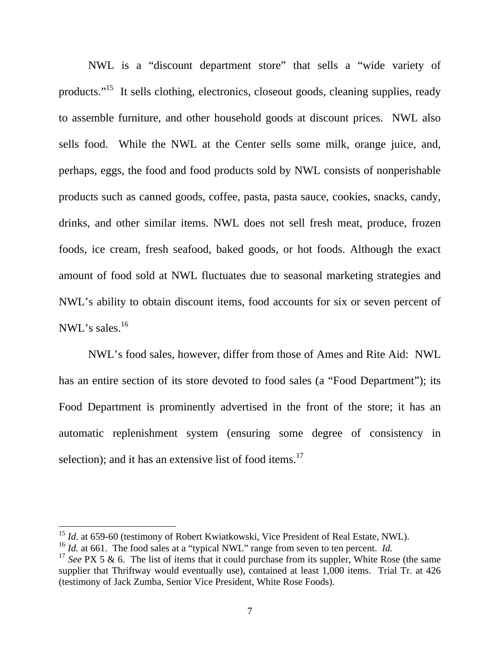NWL is a "discount department store" that sells a "wide variety of products."15 It sells clothing, electronics, closeout goods, cleaning supplies, ready to assemble furniture, and other household goods at discount prices. NWL also sells food. While the NWL at the Center sells some milk, orange juice, and, perhaps, eggs, the food and food products sold by NWL consists of nonperishable products such as canned goods, coffee, pasta, pasta sauce, cookies, snacks, candy, drinks, and other similar items. NWL does not sell fresh meat, produce, frozen foods, ice cream, fresh seafood, baked goods, or hot foods. Although the exact amount of food sold at NWL fluctuates due to seasonal marketing strategies and NWL's ability to obtain discount items, food accounts for six or seven percent of NWL's sales.<sup>16</sup>

NWL's food sales, however, differ from those of Ames and Rite Aid: NWL has an entire section of its store devoted to food sales (a "Food Department"); its Food Department is prominently advertised in the front of the store; it has an automatic replenishment system (ensuring some degree of consistency in selection); and it has an extensive list of food items.<sup>17</sup>

<sup>&</sup>lt;sup>15</sup> *Id.* at 659-60 (testimony of Robert Kwiatkowski, Vice President of Real Estate, NWL).

<sup>&</sup>lt;sup>16</sup> *Id.* at 661. The food sales at a "typical NWL" range from seven to ten percent. *Id.* 

<sup>&</sup>lt;sup>17</sup> See PX 5 & 6. The list of items that it could purchase from its suppler, White Rose (the same supplier that Thriftway would eventually use), contained at least 1,000 items. Trial Tr. at 426 (testimony of Jack Zumba, Senior Vice President, White Rose Foods).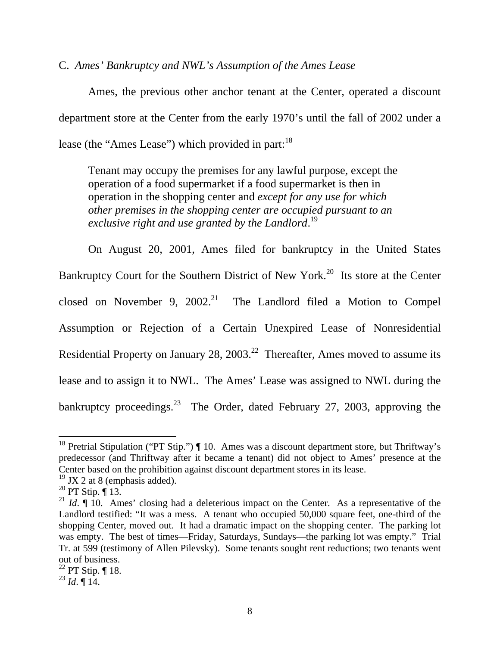C. *Ames' Bankruptcy and NWL's Assumption of the Ames Lease* 

 Ames, the previous other anchor tenant at the Center, operated a discount department store at the Center from the early 1970's until the fall of 2002 under a lease (the "Ames Lease") which provided in part:  $18$ 

 Tenant may occupy the premises for any lawful purpose, except the operation of a food supermarket if a food supermarket is then in operation in the shopping center and *except for any use for which other premises in the shopping center are occupied pursuant to an*  exclusive right and use granted by the Landlord.<sup>19</sup>

On August 20, 2001, Ames filed for bankruptcy in the United States Bankruptcy Court for the Southern District of New York.<sup>20</sup> Its store at the Center closed on November 9,  $2002<sup>21</sup>$  The Landlord filed a Motion to Compel Assumption or Rejection of a Certain Unexpired Lease of Nonresidential Residential Property on January 28, 2003.<sup>22</sup> Thereafter, Ames moved to assume its lease and to assign it to NWL. The Ames' Lease was assigned to NWL during the bankruptcy proceedings. $^{23}$  The Order, dated February 27, 2003, approving the

<sup>&</sup>lt;sup>18</sup> Pretrial Stipulation ("PT Stip.")  $\P$  10. Ames was a discount department store, but Thriftway's predecessor (and Thriftway after it became a tenant) did not object to Ames' presence at the Center based on the prohibition against discount department stores in its lease.

 $19$  JX 2 at 8 (emphasis added).

 $^{20}$  PT Stip.  $\P$  13.

<sup>&</sup>lt;sup>21</sup> *Id.*  $\parallel$  10. Ames' closing had a deleterious impact on the Center. As a representative of the Landlord testified: "It was a mess. A tenant who occupied 50,000 square feet, one-third of the shopping Center, moved out. It had a dramatic impact on the shopping center. The parking lot was empty. The best of times—Friday, Saturdays, Sundays—the parking lot was empty." Trial Tr. at 599 (testimony of Allen Pilevsky). Some tenants sought rent reductions; two tenants went out of business.

 $^{22}$  PT Stip. ¶ 18.

 $^{23}$  *Id.*  $\llbracket$  14.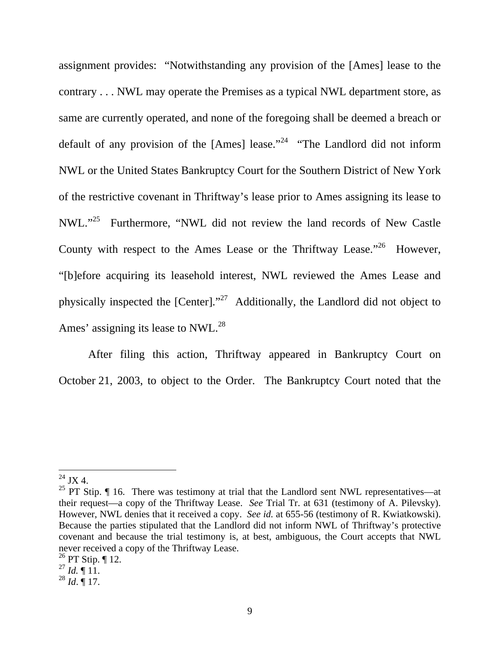assignment provides: "Notwithstanding any provision of the [Ames] lease to the contrary . . . NWL may operate the Premises as a typical NWL department store, as same are currently operated, and none of the foregoing shall be deemed a breach or default of any provision of the [Ames] lease."<sup>24</sup> "The Landlord did not inform NWL or the United States Bankruptcy Court for the Southern District of New York of the restrictive covenant in Thriftway's lease prior to Ames assigning its lease to NWL."25 Furthermore, "NWL did not review the land records of New Castle County with respect to the Ames Lease or the Thriftway Lease."<sup>26</sup> However, "[b]efore acquiring its leasehold interest, NWL reviewed the Ames Lease and physically inspected the [Center]."27 Additionally, the Landlord did not object to Ames' assigning its lease to NWL.<sup>28</sup>

After filing this action, Thriftway appeared in Bankruptcy Court on October 21, 2003, to object to the Order. The Bankruptcy Court noted that the

 $24$  JX 4.

<sup>&</sup>lt;sup>25</sup> PT Stip.  $\P$  16. There was testimony at trial that the Landlord sent NWL representatives—at their request—a copy of the Thriftway Lease. *See* Trial Tr. at 631 (testimony of A. Pilevsky). However, NWL denies that it received a copy. *See id.* at 655-56 (testimony of R. Kwiatkowski). Because the parties stipulated that the Landlord did not inform NWL of Thriftway's protective covenant and because the trial testimony is, at best, ambiguous, the Court accepts that NWL never received a copy of the Thriftway Lease.

 $^{26}$  PT Stip. ¶ 12.

 $^{27}$  *Id.*  $\P$  11.

<sup>28</sup> *Id*. ¶ 17.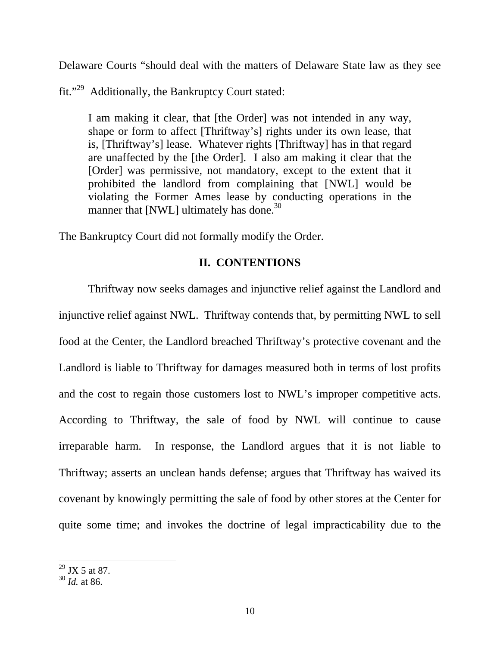Delaware Courts "should deal with the matters of Delaware State law as they see

fit."29 Additionally, the Bankruptcy Court stated:

I am making it clear, that [the Order] was not intended in any way, shape or form to affect [Thriftway's] rights under its own lease, that is, [Thriftway's] lease. Whatever rights [Thriftway] has in that regard are unaffected by the [the Order]. I also am making it clear that the [Order] was permissive, not mandatory, except to the extent that it prohibited the landlord from complaining that [NWL] would be violating the Former Ames lease by conducting operations in the manner that [NWL] ultimately has done.<sup>30</sup>

The Bankruptcy Court did not formally modify the Order.

## **II. CONTENTIONS**

Thriftway now seeks damages and injunctive relief against the Landlord and injunctive relief against NWL. Thriftway contends that, by permitting NWL to sell food at the Center, the Landlord breached Thriftway's protective covenant and the Landlord is liable to Thriftway for damages measured both in terms of lost profits and the cost to regain those customers lost to NWL's improper competitive acts. According to Thriftway, the sale of food by NWL will continue to cause irreparable harm. In response, the Landlord argues that it is not liable to Thriftway; asserts an unclean hands defense; argues that Thriftway has waived its covenant by knowingly permitting the sale of food by other stores at the Center for quite some time; and invokes the doctrine of legal impracticability due to the

 $^{29}$  JX 5 at 87.

<sup>30</sup> *Id.* at 86.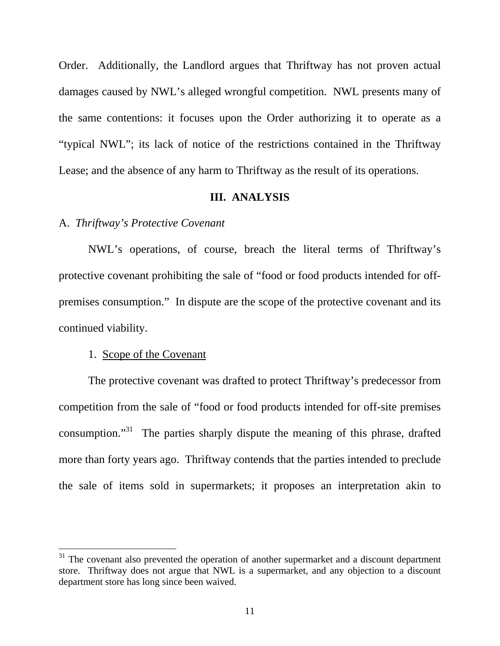Order. Additionally, the Landlord argues that Thriftway has not proven actual damages caused by NWL's alleged wrongful competition. NWL presents many of the same contentions: it focuses upon the Order authorizing it to operate as a "typical NWL"; its lack of notice of the restrictions contained in the Thriftway Lease; and the absence of any harm to Thriftway as the result of its operations.

#### **III. ANALYSIS**

#### A. *Thriftway's Protective Covenant*

NWL's operations, of course, breach the literal terms of Thriftway's protective covenant prohibiting the sale of "food or food products intended for offpremises consumption." In dispute are the scope of the protective covenant and its continued viability.

### 1. Scope of the Covenant

 $\overline{a}$ 

 The protective covenant was drafted to protect Thriftway's predecessor from competition from the sale of "food or food products intended for off-site premises consumption."<sup>31</sup> The parties sharply dispute the meaning of this phrase, drafted more than forty years ago. Thriftway contends that the parties intended to preclude the sale of items sold in supermarkets; it proposes an interpretation akin to

 $31$  The covenant also prevented the operation of another supermarket and a discount department store. Thriftway does not argue that NWL is a supermarket, and any objection to a discount department store has long since been waived.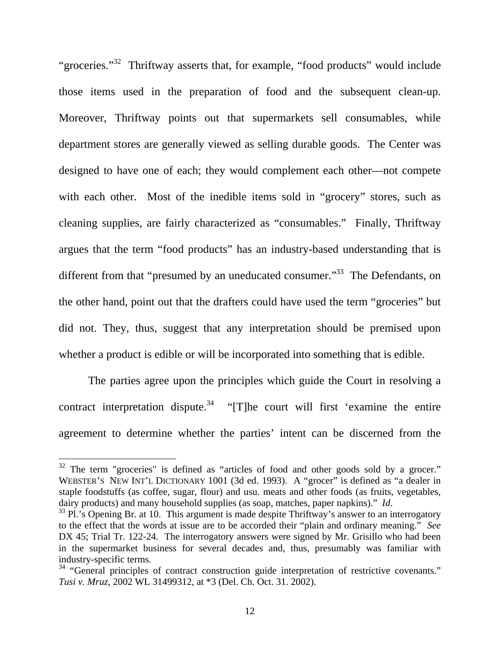"groceries."<sup>32</sup> Thriftway asserts that, for example, "food products" would include those items used in the preparation of food and the subsequent clean-up. Moreover, Thriftway points out that supermarkets sell consumables, while department stores are generally viewed as selling durable goods. The Center was designed to have one of each; they would complement each other—not compete with each other. Most of the inedible items sold in "grocery" stores, such as cleaning supplies, are fairly characterized as "consumables." Finally, Thriftway argues that the term "food products" has an industry-based understanding that is different from that "presumed by an uneducated consumer."<sup>33</sup> The Defendants, on the other hand, point out that the drafters could have used the term "groceries" but did not. They, thus, suggest that any interpretation should be premised upon whether a product is edible or will be incorporated into something that is edible.

 The parties agree upon the principles which guide the Court in resolving a contract interpretation dispute.<sup>34</sup> "[T]he court will first 'examine the entire agreement to determine whether the parties' intent can be discerned from the

 $32$  The term "groceries" is defined as "articles of food and other goods sold by a grocer." WEBSTER'S NEW INT'L DICTIONARY 1001 (3d ed. 1993). A "grocer" is defined as "a dealer in staple foodstuffs (as coffee, sugar, flour) and usu. meats and other foods (as fruits, vegetables, dairy products) and many household supplies (as soap, matches, paper napkins)." *Id*. <sup>33</sup> Pl.'s Opening Br. at 10. This argument is made despite Thriftway's answer to an interrogatory

to the effect that the words at issue are to be accorded their "plain and ordinary meaning." *See* DX 45; Trial Tr. 122-24. The interrogatory answers were signed by Mr. Grisillo who had been in the supermarket business for several decades and, thus, presumably was familiar with industry-specific terms.

 $34$  "General principles of contract construction guide interpretation of restrictive covenants." *Tusi v. Mruz*, 2002 WL 31499312, at \*3 (Del. Ch. Oct. 31. 2002).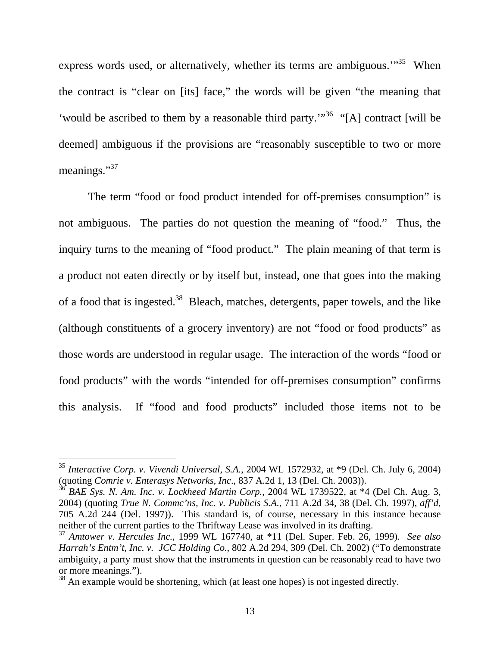express words used, or alternatively, whether its terms are ambiguous.<sup>"35</sup> When the contract is "clear on [its] face," the words will be given "the meaning that 'would be ascribed to them by a reasonable third party.'"<sup>36</sup> "[A] contract [will be deemed] ambiguous if the provisions are "reasonably susceptible to two or more meanings."<sup>37</sup>

 The term "food or food product intended for off-premises consumption" is not ambiguous. The parties do not question the meaning of "food." Thus, the inquiry turns to the meaning of "food product." The plain meaning of that term is a product not eaten directly or by itself but, instead, one that goes into the making of a food that is ingested.<sup>38</sup> Bleach, matches, detergents, paper towels, and the like (although constituents of a grocery inventory) are not "food or food products" as those words are understood in regular usage. The interaction of the words "food or food products" with the words "intended for off-premises consumption" confirms this analysis. If "food and food products" included those items not to be

<sup>35</sup> *Interactive Corp. v. Vivendi Universal, S.A.*, 2004 WL 1572932, at \*9 (Del. Ch. July 6, 2004) (quoting *Comrie v. Enterasys Networks, Inc*., 837 A.2d 1, 13 (Del. Ch. 2003)).

<sup>36</sup> *BAE Sys. N. Am. Inc. v. Lockheed Martin Corp.*, 2004 WL 1739522, at \*4 (Del Ch. Aug. 3, 2004) (quoting *True N. Commc'ns, Inc. v. Publicis S.A.*, 711 A.2d 34, 38 (Del. Ch. 1997), *aff'd*, 705 A.2d 244 (Del. 1997)). This standard is, of course, necessary in this instance because neither of the current parties to the Thriftway Lease was involved in its drafting.

<sup>37</sup> *Amtower v. Hercules Inc.*, 1999 WL 167740, at \*11 (Del. Super. Feb. 26, 1999). *See also Harrah's Entm't, Inc. v. JCC Holding Co.*, 802 A.2d 294, 309 (Del. Ch. 2002) ("To demonstrate ambiguity, a party must show that the instruments in question can be reasonably read to have two or more meanings.").

<sup>&</sup>lt;sup>38</sup> An example would be shortening, which (at least one hopes) is not ingested directly.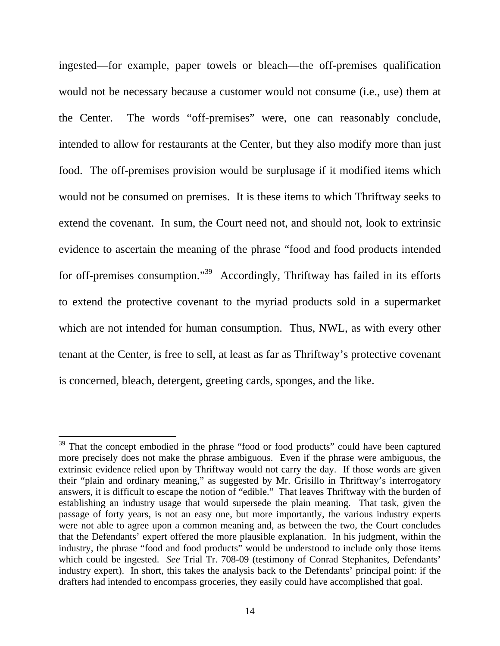ingested—for example, paper towels or bleach—the off-premises qualification would not be necessary because a customer would not consume (i.e., use) them at the Center. The words "off-premises" were, one can reasonably conclude, intended to allow for restaurants at the Center, but they also modify more than just food. The off-premises provision would be surplusage if it modified items which would not be consumed on premises. It is these items to which Thriftway seeks to extend the covenant. In sum, the Court need not, and should not, look to extrinsic evidence to ascertain the meaning of the phrase "food and food products intended for off-premises consumption."<sup>39</sup> Accordingly, Thriftway has failed in its efforts to extend the protective covenant to the myriad products sold in a supermarket which are not intended for human consumption. Thus, NWL, as with every other tenant at the Center, is free to sell, at least as far as Thriftway's protective covenant is concerned, bleach, detergent, greeting cards, sponges, and the like.

 $39$  That the concept embodied in the phrase "food or food products" could have been captured more precisely does not make the phrase ambiguous. Even if the phrase were ambiguous, the extrinsic evidence relied upon by Thriftway would not carry the day. If those words are given their "plain and ordinary meaning," as suggested by Mr. Grisillo in Thriftway's interrogatory answers, it is difficult to escape the notion of "edible." That leaves Thriftway with the burden of establishing an industry usage that would supersede the plain meaning. That task, given the passage of forty years, is not an easy one, but more importantly, the various industry experts were not able to agree upon a common meaning and, as between the two, the Court concludes that the Defendants' expert offered the more plausible explanation. In his judgment, within the industry, the phrase "food and food products" would be understood to include only those items which could be ingested. *See* Trial Tr. 708-09 (testimony of Conrad Stephanites, Defendants' industry expert). In short, this takes the analysis back to the Defendants' principal point: if the drafters had intended to encompass groceries, they easily could have accomplished that goal.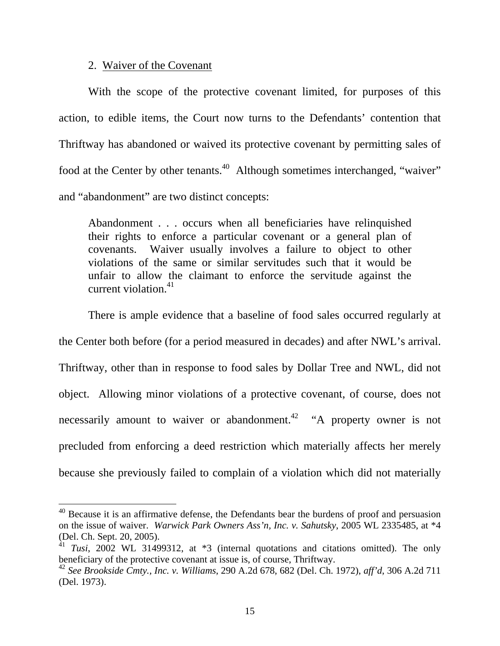## 2. Waiver of the Covenant

 $\overline{a}$ 

 With the scope of the protective covenant limited, for purposes of this action, to edible items, the Court now turns to the Defendants' contention that Thriftway has abandoned or waived its protective covenant by permitting sales of food at the Center by other tenants.<sup>40</sup> Although sometimes interchanged, "waiver" and "abandonment" are two distinct concepts:

Abandonment . . . occurs when all beneficiaries have relinquished their rights to enforce a particular covenant or a general plan of covenants. Waiver usually involves a failure to object to other violations of the same or similar servitudes such that it would be unfair to allow the claimant to enforce the servitude against the current violation  $41$ 

 There is ample evidence that a baseline of food sales occurred regularly at the Center both before (for a period measured in decades) and after NWL's arrival. Thriftway, other than in response to food sales by Dollar Tree and NWL, did not object. Allowing minor violations of a protective covenant, of course, does not necessarily amount to waiver or abandonment.<sup>42</sup> "A property owner is not precluded from enforcing a deed restriction which materially affects her merely because she previously failed to complain of a violation which did not materially

 $40$  Because it is an affirmative defense, the Defendants bear the burdens of proof and persuasion on the issue of waiver. *Warwick Park Owners Ass'n, Inc. v. Sahutsky*, 2005 WL 2335485, at \*4 (Del. Ch. Sept. 20, 2005).

<sup>&</sup>lt;sup>41</sup> *Tusi*, 2002 WL 31499312, at \*3 (internal quotations and citations omitted). The only beneficiary of the protective covenant at issue is, of course, Thriftway.

<sup>42</sup> *See Brookside Cmty., Inc. v. Williams*, 290 A.2d 678, 682 (Del. Ch. 1972), *aff'd*, 306 A.2d 711 (Del. 1973).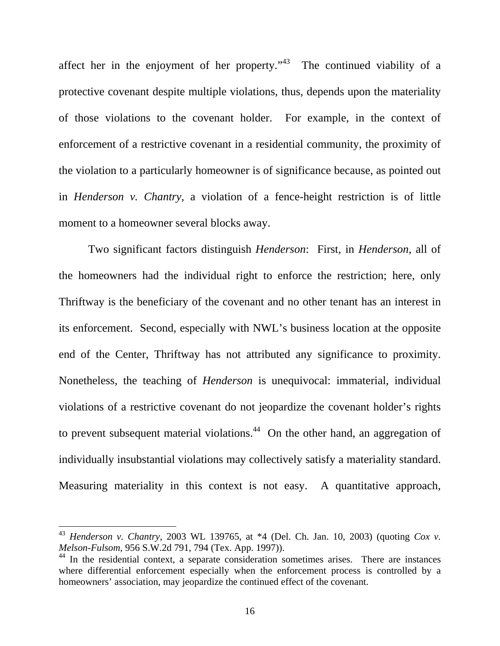affect her in the enjoyment of her property." $43$  The continued viability of a protective covenant despite multiple violations, thus, depends upon the materiality of those violations to the covenant holder. For example, in the context of enforcement of a restrictive covenant in a residential community, the proximity of the violation to a particularly homeowner is of significance because, as pointed out in *Henderson v. Chantry*, a violation of a fence-height restriction is of little moment to a homeowner several blocks away.

 Two significant factors distinguish *Henderson*: First, in *Henderson*, all of the homeowners had the individual right to enforce the restriction; here, only Thriftway is the beneficiary of the covenant and no other tenant has an interest in its enforcement. Second, especially with NWL's business location at the opposite end of the Center, Thriftway has not attributed any significance to proximity. Nonetheless, the teaching of *Henderson* is unequivocal: immaterial, individual violations of a restrictive covenant do not jeopardize the covenant holder's rights to prevent subsequent material violations.<sup>44</sup> On the other hand, an aggregation of individually insubstantial violations may collectively satisfy a materiality standard. Measuring materiality in this context is not easy. A quantitative approach,

<sup>43</sup> *Henderson v. Chantry*, 2003 WL 139765, at \*4 (Del. Ch. Jan. 10, 2003) (quoting *Cox v. Melson-Fulsom*, 956 S.W.2d 791, 794 (Tex. App. 1997)).

 $44$  In the residential context, a separate consideration sometimes arises. There are instances where differential enforcement especially when the enforcement process is controlled by a homeowners' association, may jeopardize the continued effect of the covenant.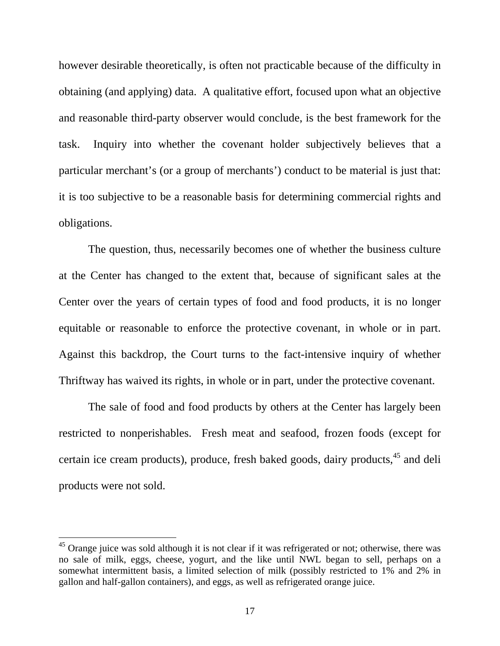however desirable theoretically, is often not practicable because of the difficulty in obtaining (and applying) data. A qualitative effort, focused upon what an objective and reasonable third-party observer would conclude, is the best framework for the task. Inquiry into whether the covenant holder subjectively believes that a particular merchant's (or a group of merchants') conduct to be material is just that: it is too subjective to be a reasonable basis for determining commercial rights and obligations.

 The question, thus, necessarily becomes one of whether the business culture at the Center has changed to the extent that, because of significant sales at the Center over the years of certain types of food and food products, it is no longer equitable or reasonable to enforce the protective covenant, in whole or in part. Against this backdrop, the Court turns to the fact-intensive inquiry of whether Thriftway has waived its rights, in whole or in part, under the protective covenant.

 The sale of food and food products by others at the Center has largely been restricted to nonperishables. Fresh meat and seafood, frozen foods (except for certain ice cream products), produce, fresh baked goods, dairy products, <sup>45</sup> and deli products were not sold.

<sup>&</sup>lt;sup>45</sup> Orange juice was sold although it is not clear if it was refrigerated or not; otherwise, there was no sale of milk, eggs, cheese, yogurt, and the like until NWL began to sell, perhaps on a somewhat intermittent basis, a limited selection of milk (possibly restricted to 1% and 2% in gallon and half-gallon containers), and eggs, as well as refrigerated orange juice.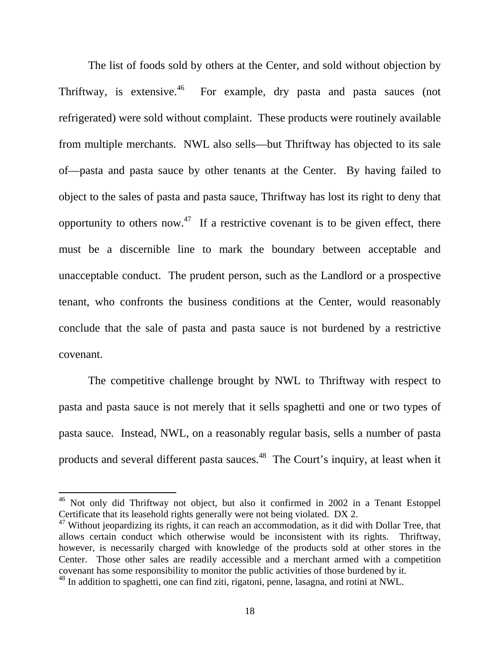The list of foods sold by others at the Center, and sold without objection by Thriftway, is extensive.<sup>46</sup> For example, dry pasta and pasta sauces (not refrigerated) were sold without complaint. These products were routinely available from multiple merchants. NWL also sells—but Thriftway has objected to its sale of—pasta and pasta sauce by other tenants at the Center. By having failed to object to the sales of pasta and pasta sauce, Thriftway has lost its right to deny that opportunity to others now.<sup>47</sup> If a restrictive covenant is to be given effect, there must be a discernible line to mark the boundary between acceptable and unacceptable conduct. The prudent person, such as the Landlord or a prospective tenant, who confronts the business conditions at the Center, would reasonably conclude that the sale of pasta and pasta sauce is not burdened by a restrictive covenant.

 The competitive challenge brought by NWL to Thriftway with respect to pasta and pasta sauce is not merely that it sells spaghetti and one or two types of pasta sauce. Instead, NWL, on a reasonably regular basis, sells a number of pasta products and several different pasta sauces.<sup>48</sup> The Court's inquiry, at least when it

<sup>&</sup>lt;sup>46</sup> Not only did Thriftway not object, but also it confirmed in 2002 in a Tenant Estoppel Certificate that its leasehold rights generally were not being violated. DX 2.

 $47$  Without jeopardizing its rights, it can reach an accommodation, as it did with Dollar Tree, that allows certain conduct which otherwise would be inconsistent with its rights. Thriftway, however, is necessarily charged with knowledge of the products sold at other stores in the Center. Those other sales are readily accessible and a merchant armed with a competition covenant has some responsibility to monitor the public activities of those burdened by it.

<sup>48</sup> In addition to spaghetti, one can find ziti, rigatoni, penne, lasagna, and rotini at NWL.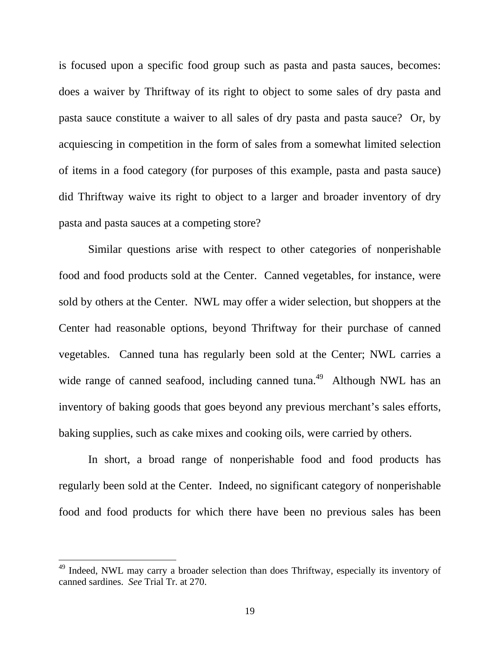is focused upon a specific food group such as pasta and pasta sauces, becomes: does a waiver by Thriftway of its right to object to some sales of dry pasta and pasta sauce constitute a waiver to all sales of dry pasta and pasta sauce? Or, by acquiescing in competition in the form of sales from a somewhat limited selection of items in a food category (for purposes of this example, pasta and pasta sauce) did Thriftway waive its right to object to a larger and broader inventory of dry pasta and pasta sauces at a competing store?

 Similar questions arise with respect to other categories of nonperishable food and food products sold at the Center. Canned vegetables, for instance, were sold by others at the Center. NWL may offer a wider selection, but shoppers at the Center had reasonable options, beyond Thriftway for their purchase of canned vegetables. Canned tuna has regularly been sold at the Center; NWL carries a wide range of canned seafood, including canned tuna.<sup>49</sup> Although NWL has an inventory of baking goods that goes beyond any previous merchant's sales efforts, baking supplies, such as cake mixes and cooking oils, were carried by others.

 In short, a broad range of nonperishable food and food products has regularly been sold at the Center. Indeed, no significant category of nonperishable food and food products for which there have been no previous sales has been

<sup>&</sup>lt;sup>49</sup> Indeed, NWL may carry a broader selection than does Thriftway, especially its inventory of canned sardines. *See* Trial Tr. at 270.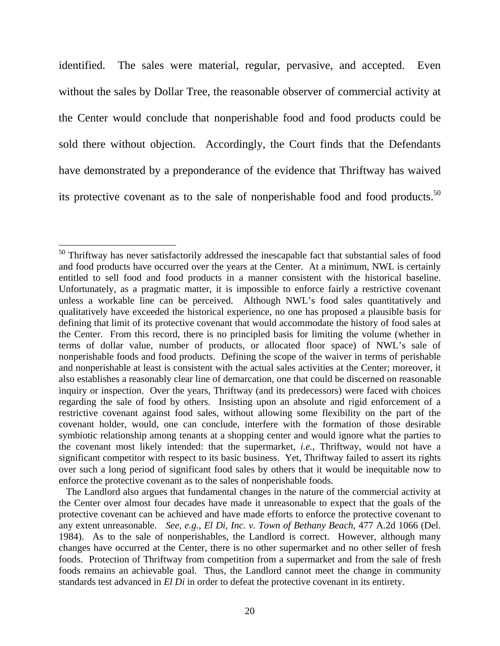identified. The sales were material, regular, pervasive, and accepted. Even without the sales by Dollar Tree, the reasonable observer of commercial activity at the Center would conclude that nonperishable food and food products could be sold there without objection. Accordingly, the Court finds that the Defendants have demonstrated by a preponderance of the evidence that Thriftway has waived its protective covenant as to the sale of nonperishable food and food products.<sup>50</sup>

 $\overline{a}$ 

 The Landlord also argues that fundamental changes in the nature of the commercial activity at the Center over almost four decades have made it unreasonable to expect that the goals of the protective covenant can be achieved and have made efforts to enforce the protective covenant to any extent unreasonable. *See, e.g.*, *El Di, Inc. v. Town of Bethany Beach*, 477 A.2d 1066 (Del. 1984). As to the sale of nonperishables, the Landlord is correct. However, although many changes have occurred at the Center, there is no other supermarket and no other seller of fresh foods. Protection of Thriftway from competition from a supermarket and from the sale of fresh foods remains an achievable goal. Thus, the Landlord cannot meet the change in community standards test advanced in *El Di* in order to defeat the protective covenant in its entirety.

 $50$  Thriftway has never satisfactorily addressed the inescapable fact that substantial sales of food and food products have occurred over the years at the Center. At a minimum, NWL is certainly entitled to sell food and food products in a manner consistent with the historical baseline. Unfortunately, as a pragmatic matter, it is impossible to enforce fairly a restrictive covenant unless a workable line can be perceived. Although NWL's food sales quantitatively and qualitatively have exceeded the historical experience, no one has proposed a plausible basis for defining that limit of its protective covenant that would accommodate the history of food sales at the Center. From this record, there is no principled basis for limiting the volume (whether in terms of dollar value, number of products, or allocated floor space) of NWL's sale of nonperishable foods and food products. Defining the scope of the waiver in terms of perishable and nonperishable at least is consistent with the actual sales activities at the Center; moreover, it also establishes a reasonably clear line of demarcation, one that could be discerned on reasonable inquiry or inspection. Over the years, Thriftway (and its predecessors) were faced with choices regarding the sale of food by others. Insisting upon an absolute and rigid enforcement of a restrictive covenant against food sales, without allowing some flexibility on the part of the covenant holder, would, one can conclude, interfere with the formation of those desirable symbiotic relationship among tenants at a shopping center and would ignore what the parties to the covenant most likely intended: that the supermarket, *i.e.*, Thriftway, would not have a significant competitor with respect to its basic business. Yet, Thriftway failed to assert its rights over such a long period of significant food sales by others that it would be inequitable now to enforce the protective covenant as to the sales of nonperishable foods.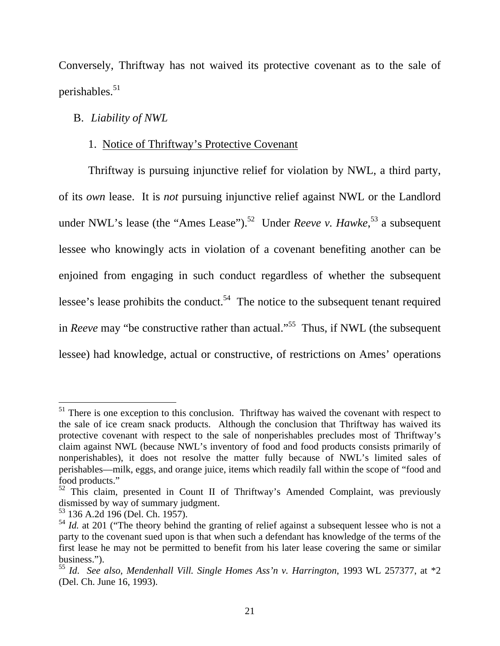Conversely, Thriftway has not waived its protective covenant as to the sale of perishables. $51$ 

## B. *Liability of NWL*

### 1. Notice of Thriftway's Protective Covenant

Thriftway is pursuing injunctive relief for violation by NWL, a third party, of its *own* lease. It is *not* pursuing injunctive relief against NWL or the Landlord under NWL's lease (the "Ames Lease").<sup>52</sup> Under *Reeve v. Hawke*,<sup>53</sup> a subsequent lessee who knowingly acts in violation of a covenant benefiting another can be enjoined from engaging in such conduct regardless of whether the subsequent lessee's lease prohibits the conduct.<sup>54</sup> The notice to the subsequent tenant required in *Reeve* may "be constructive rather than actual."<sup>55</sup> Thus, if NWL (the subsequent lessee) had knowledge, actual or constructive, of restrictions on Ames' operations

 $51$  There is one exception to this conclusion. Thriftway has waived the covenant with respect to the sale of ice cream snack products. Although the conclusion that Thriftway has waived its protective covenant with respect to the sale of nonperishables precludes most of Thriftway's claim against NWL (because NWL's inventory of food and food products consists primarily of nonperishables), it does not resolve the matter fully because of NWL's limited sales of perishables—milk, eggs, and orange juice, items which readily fall within the scope of "food and food products."

 $52$  This claim, presented in Count II of Thriftway's Amended Complaint, was previously dismissed by way of summary judgment.

<sup>53 136</sup> A.2d 196 (Del. Ch. 1957).

<sup>&</sup>lt;sup>54</sup> *Id.* at 201 ("The theory behind the granting of relief against a subsequent lessee who is not a party to the covenant sued upon is that when such a defendant has knowledge of the terms of the first lease he may not be permitted to benefit from his later lease covering the same or similar business.").

<sup>55</sup> *Id*. *See also*, *Mendenhall Vill. Single Homes Ass'n v. Harrington*, 1993 WL 257377, at \*2 (Del. Ch. June 16, 1993).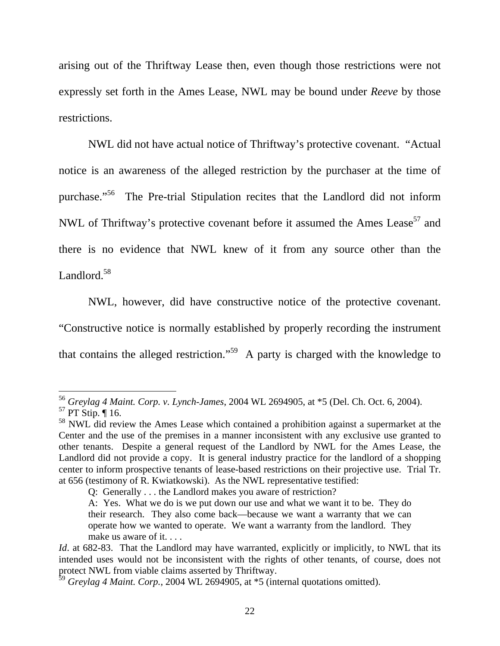arising out of the Thriftway Lease then, even though those restrictions were not expressly set forth in the Ames Lease, NWL may be bound under *Reeve* by those restrictions.

 NWL did not have actual notice of Thriftway's protective covenant. "Actual notice is an awareness of the alleged restriction by the purchaser at the time of purchase."56 The Pre-trial Stipulation recites that the Landlord did not inform NWL of Thriftway's protective covenant before it assumed the Ames Lease<sup>57</sup> and there is no evidence that NWL knew of it from any source other than the Landlord.<sup>58</sup>

 NWL, however, did have constructive notice of the protective covenant. "Constructive notice is normally established by properly recording the instrument that contains the alleged restriction."59 A party is charged with the knowledge to

<sup>56</sup> *Greylag 4 Maint. Corp. v. Lynch-James*, 2004 WL 2694905, at \*5 (Del. Ch. Oct. 6, 2004).

 $57$  PT Stip.  $\P$  16.

<sup>&</sup>lt;sup>58</sup> NWL did review the Ames Lease which contained a prohibition against a supermarket at the Center and the use of the premises in a manner inconsistent with any exclusive use granted to other tenants. Despite a general request of the Landlord by NWL for the Ames Lease, the Landlord did not provide a copy. It is general industry practice for the landlord of a shopping center to inform prospective tenants of lease-based restrictions on their projective use. Trial Tr. at 656 (testimony of R. Kwiatkowski). As the NWL representative testified:

Q: Generally . . . the Landlord makes you aware of restriction?

A: Yes. What we do is we put down our use and what we want it to be. They do their research. They also come back—because we want a warranty that we can operate how we wanted to operate. We want a warranty from the landlord. They make us aware of it....

*Id.* at 682-83. That the Landlord may have warranted, explicitly or implicitly, to NWL that its intended uses would not be inconsistent with the rights of other tenants, of course, does not protect NWL from viable claims asserted by Thriftway.

<sup>59</sup> *Greylag 4 Maint. Corp.*, 2004 WL 2694905, at \*5 (internal quotations omitted).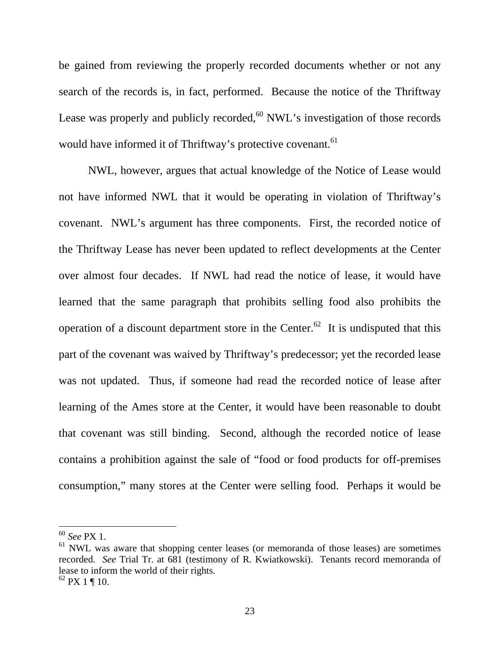be gained from reviewing the properly recorded documents whether or not any search of the records is, in fact, performed. Because the notice of the Thriftway Lease was properly and publicly recorded,  $60$  NWL's investigation of those records would have informed it of Thriftway's protective covenant.<sup>61</sup>

 NWL, however, argues that actual knowledge of the Notice of Lease would not have informed NWL that it would be operating in violation of Thriftway's covenant. NWL's argument has three components. First, the recorded notice of the Thriftway Lease has never been updated to reflect developments at the Center over almost four decades. If NWL had read the notice of lease, it would have learned that the same paragraph that prohibits selling food also prohibits the operation of a discount department store in the Center.<sup>62</sup> It is undisputed that this part of the covenant was waived by Thriftway's predecessor; yet the recorded lease was not updated. Thus, if someone had read the recorded notice of lease after learning of the Ames store at the Center, it would have been reasonable to doubt that covenant was still binding. Second, although the recorded notice of lease contains a prohibition against the sale of "food or food products for off-premises consumption," many stores at the Center were selling food. Perhaps it would be

<sup>60</sup> *See* PX 1.

 $<sup>61</sup>$  NWL was aware that shopping center leases (or memoranda of those leases) are sometimes</sup> recorded. *See* Trial Tr. at 681 (testimony of R. Kwiatkowski). Tenants record memoranda of lease to inform the world of their rights.

 $62$  PX 1 ¶ 10.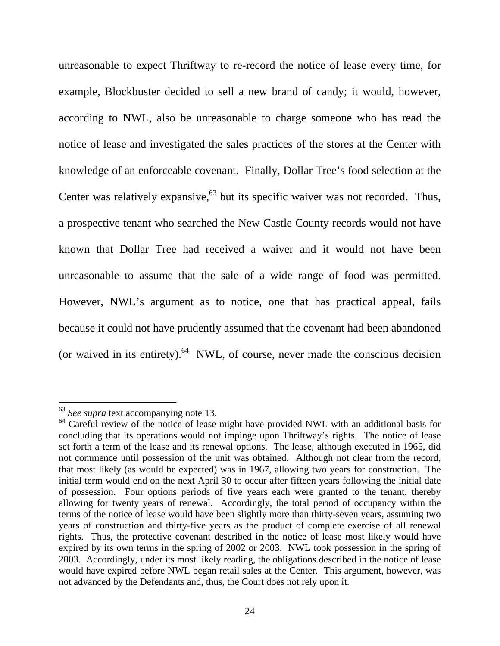unreasonable to expect Thriftway to re-record the notice of lease every time, for example, Blockbuster decided to sell a new brand of candy; it would, however, according to NWL, also be unreasonable to charge someone who has read the notice of lease and investigated the sales practices of the stores at the Center with knowledge of an enforceable covenant. Finally, Dollar Tree's food selection at the Center was relatively expansive,  $63$  but its specific waiver was not recorded. Thus, a prospective tenant who searched the New Castle County records would not have known that Dollar Tree had received a waiver and it would not have been unreasonable to assume that the sale of a wide range of food was permitted. However, NWL's argument as to notice, one that has practical appeal, fails because it could not have prudently assumed that the covenant had been abandoned (or waived in its entirety). $64$  NWL, of course, never made the conscious decision

<sup>63</sup> *See supra* text accompanying note 13.

<sup>&</sup>lt;sup>64</sup> Careful review of the notice of lease might have provided NWL with an additional basis for concluding that its operations would not impinge upon Thriftway's rights. The notice of lease set forth a term of the lease and its renewal options. The lease, although executed in 1965, did not commence until possession of the unit was obtained. Although not clear from the record, that most likely (as would be expected) was in 1967, allowing two years for construction. The initial term would end on the next April 30 to occur after fifteen years following the initial date of possession. Four options periods of five years each were granted to the tenant, thereby allowing for twenty years of renewal. Accordingly, the total period of occupancy within the terms of the notice of lease would have been slightly more than thirty-seven years, assuming two years of construction and thirty-five years as the product of complete exercise of all renewal rights. Thus, the protective covenant described in the notice of lease most likely would have expired by its own terms in the spring of 2002 or 2003. NWL took possession in the spring of 2003. Accordingly, under its most likely reading, the obligations described in the notice of lease would have expired before NWL began retail sales at the Center. This argument, however, was not advanced by the Defendants and, thus, the Court does not rely upon it.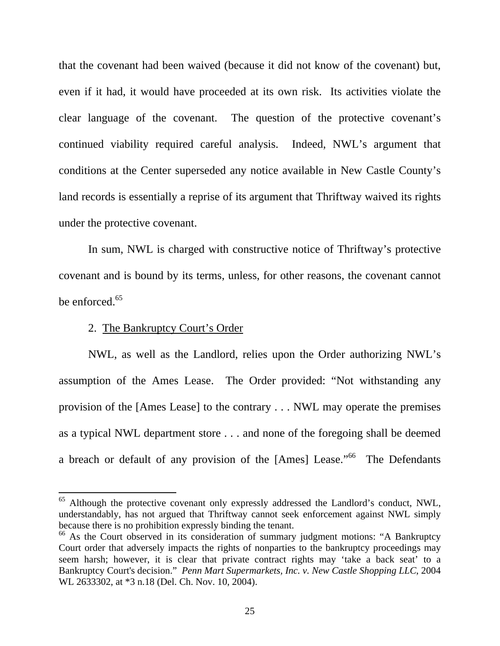that the covenant had been waived (because it did not know of the covenant) but, even if it had, it would have proceeded at its own risk. Its activities violate the clear language of the covenant. The question of the protective covenant's continued viability required careful analysis. Indeed, NWL's argument that conditions at the Center superseded any notice available in New Castle County's land records is essentially a reprise of its argument that Thriftway waived its rights under the protective covenant.

 In sum, NWL is charged with constructive notice of Thriftway's protective covenant and is bound by its terms, unless, for other reasons, the covenant cannot be enforced.<sup>65</sup>

### 2. The Bankruptcy Court's Order

 $\overline{a}$ 

 NWL, as well as the Landlord, relies upon the Order authorizing NWL's assumption of the Ames Lease. The Order provided: "Not withstanding any provision of the [Ames Lease] to the contrary . . . NWL may operate the premises as a typical NWL department store . . . and none of the foregoing shall be deemed a breach or default of any provision of the [Ames] Lease."<sup>66</sup> The Defendants

<sup>&</sup>lt;sup>65</sup> Although the protective covenant only expressly addressed the Landlord's conduct, NWL, understandably, has not argued that Thriftway cannot seek enforcement against NWL simply because there is no prohibition expressly binding the tenant.

<sup>&</sup>lt;sup>66</sup> As the Court observed in its consideration of summary judgment motions: "A Bankruptcy Court order that adversely impacts the rights of nonparties to the bankruptcy proceedings may seem harsh; however, it is clear that private contract rights may 'take a back seat' to a Bankruptcy Court's decision." *Penn Mart Supermarkets, Inc. v. New Castle Shopping LLC*, 2004 WL 2633302, at \*3 n.18 (Del. Ch. Nov. 10, 2004).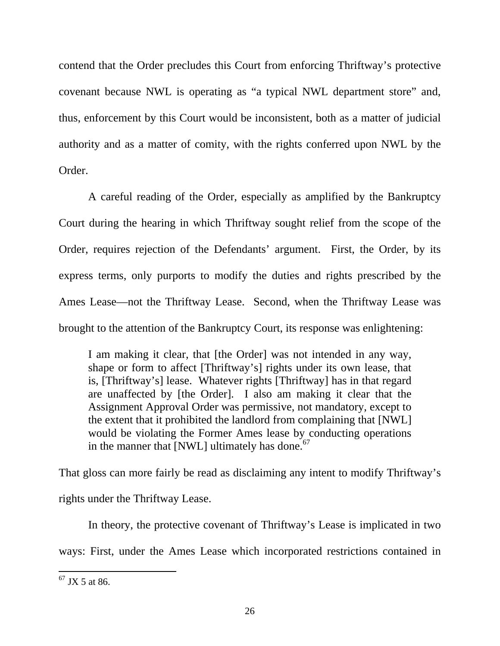contend that the Order precludes this Court from enforcing Thriftway's protective covenant because NWL is operating as "a typical NWL department store" and, thus, enforcement by this Court would be inconsistent, both as a matter of judicial authority and as a matter of comity, with the rights conferred upon NWL by the Order.

 A careful reading of the Order, especially as amplified by the Bankruptcy Court during the hearing in which Thriftway sought relief from the scope of the Order, requires rejection of the Defendants' argument. First, the Order, by its express terms, only purports to modify the duties and rights prescribed by the Ames Lease—not the Thriftway Lease. Second, when the Thriftway Lease was brought to the attention of the Bankruptcy Court, its response was enlightening:

I am making it clear, that [the Order] was not intended in any way, shape or form to affect [Thriftway's] rights under its own lease, that is, [Thriftway's] lease. Whatever rights [Thriftway] has in that regard are unaffected by [the Order]. I also am making it clear that the Assignment Approval Order was permissive, not mandatory, except to the extent that it prohibited the landlord from complaining that [NWL] would be violating the Former Ames lease by conducting operations in the manner that [NWL] ultimately has done. $67$ 

That gloss can more fairly be read as disclaiming any intent to modify Thriftway's rights under the Thriftway Lease.

 In theory, the protective covenant of Thriftway's Lease is implicated in two ways: First, under the Ames Lease which incorporated restrictions contained in

 $67$  JX 5 at 86.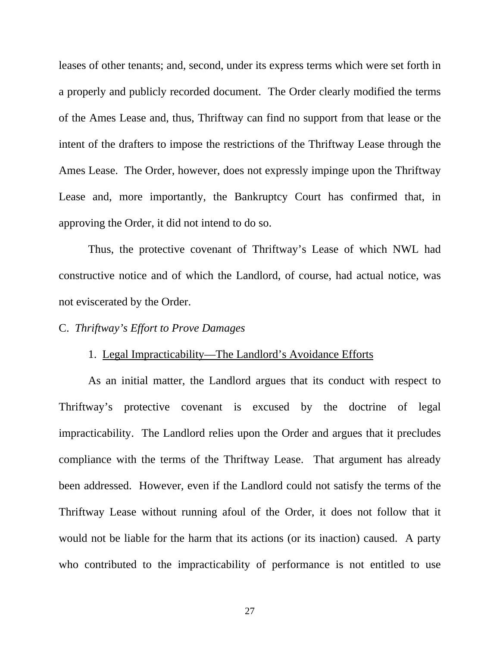leases of other tenants; and, second, under its express terms which were set forth in a properly and publicly recorded document. The Order clearly modified the terms of the Ames Lease and, thus, Thriftway can find no support from that lease or the intent of the drafters to impose the restrictions of the Thriftway Lease through the Ames Lease. The Order, however, does not expressly impinge upon the Thriftway Lease and, more importantly, the Bankruptcy Court has confirmed that, in approving the Order, it did not intend to do so.

 Thus, the protective covenant of Thriftway's Lease of which NWL had constructive notice and of which the Landlord, of course, had actual notice, was not eviscerated by the Order.

## C. *Thriftway's Effort to Prove Damages*

#### 1. Legal Impracticability—The Landlord's Avoidance Efforts

As an initial matter, the Landlord argues that its conduct with respect to Thriftway's protective covenant is excused by the doctrine of legal impracticability. The Landlord relies upon the Order and argues that it precludes compliance with the terms of the Thriftway Lease. That argument has already been addressed. However, even if the Landlord could not satisfy the terms of the Thriftway Lease without running afoul of the Order, it does not follow that it would not be liable for the harm that its actions (or its inaction) caused. A party who contributed to the impracticability of performance is not entitled to use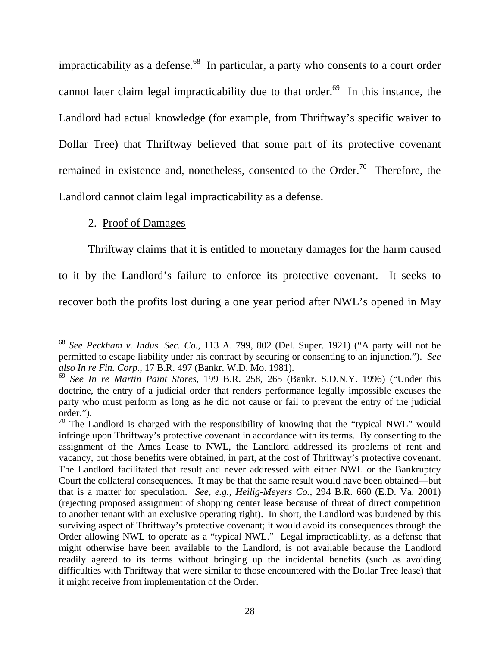impracticability as a defense.<sup>68</sup> In particular, a party who consents to a court order cannot later claim legal impracticability due to that order.<sup>69</sup> In this instance, the Landlord had actual knowledge (for example, from Thriftway's specific waiver to Dollar Tree) that Thriftway believed that some part of its protective covenant remained in existence and, nonetheless, consented to the Order.<sup>70</sup> Therefore, the Landlord cannot claim legal impracticability as a defense.

## 2. Proof of Damages

 $\overline{a}$ 

 Thriftway claims that it is entitled to monetary damages for the harm caused to it by the Landlord's failure to enforce its protective covenant. It seeks to recover both the profits lost during a one year period after NWL's opened in May

<sup>68</sup> *See Peckham v. Indus. Sec. Co.*, 113 A. 799, 802 (Del. Super. 1921) ("A party will not be permitted to escape liability under his contract by securing or consenting to an injunction."). *See also In re Fin. Corp*., 17 B.R. 497 (Bankr. W.D. Mo. 1981).

<sup>69</sup> *See In re Martin Paint Stores*, 199 B.R. 258, 265 (Bankr. S.D.N.Y. 1996) ("Under this doctrine, the entry of a judicial order that renders performance legally impossible excuses the party who must perform as long as he did not cause or fail to prevent the entry of the judicial order.").

<sup>&</sup>lt;sup>70</sup> The Landlord is charged with the responsibility of knowing that the "typical NWL" would infringe upon Thriftway's protective covenant in accordance with its terms. By consenting to the assignment of the Ames Lease to NWL, the Landlord addressed its problems of rent and vacancy, but those benefits were obtained, in part, at the cost of Thriftway's protective covenant. The Landlord facilitated that result and never addressed with either NWL or the Bankruptcy Court the collateral consequences. It may be that the same result would have been obtained—but that is a matter for speculation. *See, e.g.*, *Heilig-Meyers Co.*, 294 B.R. 660 (E.D. Va. 2001) (rejecting proposed assignment of shopping center lease because of threat of direct competition to another tenant with an exclusive operating right). In short, the Landlord was burdened by this surviving aspect of Thriftway's protective covenant; it would avoid its consequences through the Order allowing NWL to operate as a "typical NWL." Legal impracticablilty, as a defense that might otherwise have been available to the Landlord, is not available because the Landlord readily agreed to its terms without bringing up the incidental benefits (such as avoiding difficulties with Thriftway that were similar to those encountered with the Dollar Tree lease) that it might receive from implementation of the Order.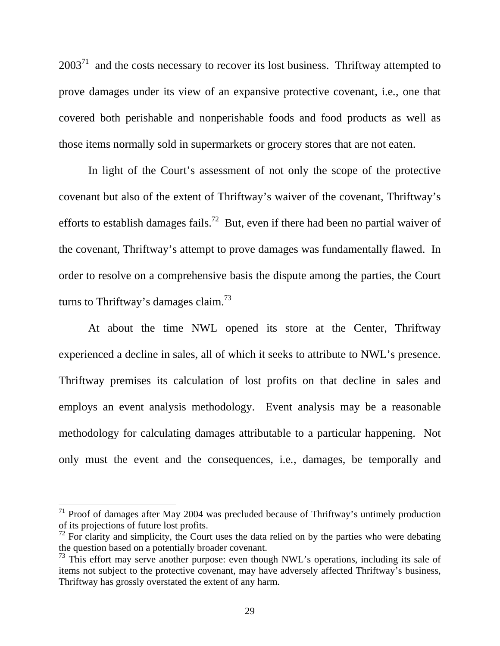$2003<sup>71</sup>$  and the costs necessary to recover its lost business. Thriftway attempted to prove damages under its view of an expansive protective covenant, i.e*.*, one that covered both perishable and nonperishable foods and food products as well as those items normally sold in supermarkets or grocery stores that are not eaten.

 In light of the Court's assessment of not only the scope of the protective covenant but also of the extent of Thriftway's waiver of the covenant, Thriftway's efforts to establish damages fails.<sup>72</sup> But, even if there had been no partial waiver of the covenant, Thriftway's attempt to prove damages was fundamentally flawed. In order to resolve on a comprehensive basis the dispute among the parties, the Court turns to Thriftway's damages claim.<sup>73</sup>

 At about the time NWL opened its store at the Center, Thriftway experienced a decline in sales, all of which it seeks to attribute to NWL's presence. Thriftway premises its calculation of lost profits on that decline in sales and employs an event analysis methodology. Event analysis may be a reasonable methodology for calculating damages attributable to a particular happening. Not only must the event and the consequences, i.e*.*, damages, be temporally and

 $71$  Proof of damages after May 2004 was precluded because of Thriftway's untimely production of its projections of future lost profits.

 $\frac{72}{12}$  For clarity and simplicity, the Court uses the data relied on by the parties who were debating the question based on a potentially broader covenant.

<sup>&</sup>lt;sup>73</sup> This effort may serve another purpose: even though NWL's operations, including its sale of items not subject to the protective covenant, may have adversely affected Thriftway's business, Thriftway has grossly overstated the extent of any harm.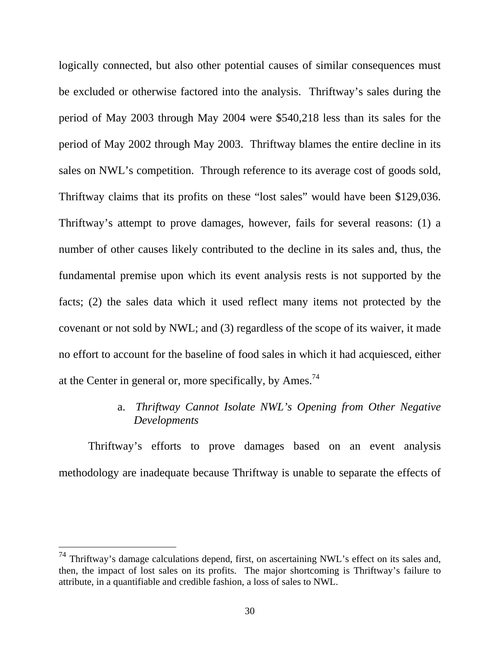logically connected, but also other potential causes of similar consequences must be excluded or otherwise factored into the analysis. Thriftway's sales during the period of May 2003 through May 2004 were \$540,218 less than its sales for the period of May 2002 through May 2003. Thriftway blames the entire decline in its sales on NWL's competition. Through reference to its average cost of goods sold, Thriftway claims that its profits on these "lost sales" would have been \$129,036. Thriftway's attempt to prove damages, however, fails for several reasons: (1) a number of other causes likely contributed to the decline in its sales and, thus, the fundamental premise upon which its event analysis rests is not supported by the facts; (2) the sales data which it used reflect many items not protected by the covenant or not sold by NWL; and (3) regardless of the scope of its waiver, it made no effort to account for the baseline of food sales in which it had acquiesced, either at the Center in general or, more specifically, by Ames.<sup>74</sup>

## a. *Thriftway Cannot Isolate NWL's Opening from Other Negative Developments*

Thriftway's efforts to prove damages based on an event analysis methodology are inadequate because Thriftway is unable to separate the effects of

 $74$  Thriftway's damage calculations depend, first, on ascertaining NWL's effect on its sales and, then, the impact of lost sales on its profits. The major shortcoming is Thriftway's failure to attribute, in a quantifiable and credible fashion, a loss of sales to NWL.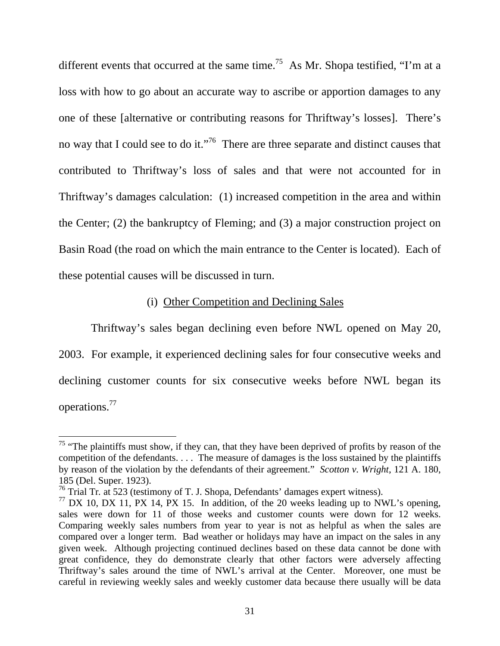different events that occurred at the same time.<sup>75</sup> As Mr. Shopa testified, "I'm at a loss with how to go about an accurate way to ascribe or apportion damages to any one of these [alternative or contributing reasons for Thriftway's losses]. There's no way that I could see to do it."<sup>76</sup> There are three separate and distinct causes that contributed to Thriftway's loss of sales and that were not accounted for in Thriftway's damages calculation: (1) increased competition in the area and within the Center; (2) the bankruptcy of Fleming; and (3) a major construction project on Basin Road (the road on which the main entrance to the Center is located). Each of these potential causes will be discussed in turn.

## (i) Other Competition and Declining Sales

 Thriftway's sales began declining even before NWL opened on May 20, 2003. For example, it experienced declining sales for four consecutive weeks and declining customer counts for six consecutive weeks before NWL began its operations.77

<sup>&</sup>lt;sup>75</sup> "The plaintiffs must show, if they can, that they have been deprived of profits by reason of the competition of the defendants. . . . The measure of damages is the loss sustained by the plaintiffs by reason of the violation by the defendants of their agreement." *Scotton v. Wright*, 121 A. 180, 185 (Del. Super. 1923).

<sup>&</sup>lt;sup>76</sup> Trial Tr. at 523 (testimony of T. J. Shopa, Defendants' damages expert witness).

 $^{77}$  DX 10, DX 11, PX 14, PX 15. In addition, of the 20 weeks leading up to NWL's opening, sales were down for 11 of those weeks and customer counts were down for 12 weeks. Comparing weekly sales numbers from year to year is not as helpful as when the sales are compared over a longer term. Bad weather or holidays may have an impact on the sales in any given week. Although projecting continued declines based on these data cannot be done with great confidence, they do demonstrate clearly that other factors were adversely affecting Thriftway's sales around the time of NWL's arrival at the Center. Moreover, one must be careful in reviewing weekly sales and weekly customer data because there usually will be data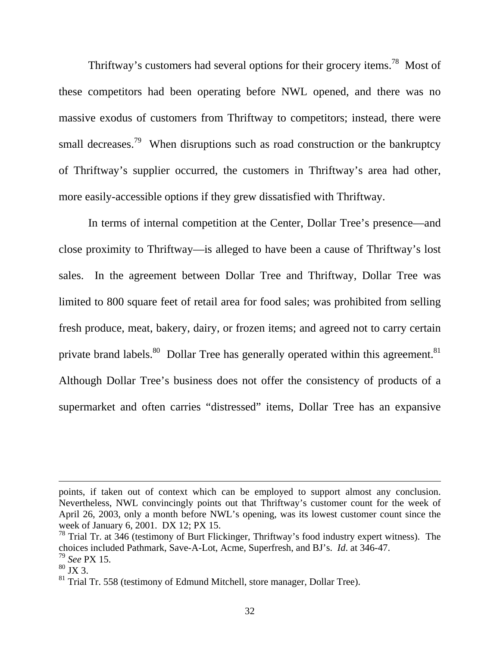Thriftway's customers had several options for their grocery items.<sup>78</sup> Most of these competitors had been operating before NWL opened, and there was no massive exodus of customers from Thriftway to competitors; instead, there were small decreases.<sup>79</sup> When disruptions such as road construction or the bankruptcy of Thriftway's supplier occurred, the customers in Thriftway's area had other, more easily-accessible options if they grew dissatisfied with Thriftway.

In terms of internal competition at the Center, Dollar Tree's presence—and close proximity to Thriftway—is alleged to have been a cause of Thriftway's lost sales. In the agreement between Dollar Tree and Thriftway, Dollar Tree was limited to 800 square feet of retail area for food sales; was prohibited from selling fresh produce, meat, bakery, dairy, or frozen items; and agreed not to carry certain private brand labels.<sup>80</sup> Dollar Tree has generally operated within this agreement.<sup>81</sup> Although Dollar Tree's business does not offer the consistency of products of a supermarket and often carries "distressed" items, Dollar Tree has an expansive

points, if taken out of context which can be employed to support almost any conclusion. Nevertheless, NWL convincingly points out that Thriftway's customer count for the week of April 26, 2003, only a month before NWL's opening, was its lowest customer count since the week of January 6, 2001. DX 12; PX 15.

<sup>&</sup>lt;sup>78</sup> Trial Tr. at 346 (testimony of Burt Flickinger, Thriftway's food industry expert witness). The choices included Pathmark, Save-A-Lot, Acme, Superfresh, and BJ's. *Id*. at 346-47.

<sup>79</sup> *See* PX 15.

 $80$  JX 3.

 $81$  Trial Tr. 558 (testimony of Edmund Mitchell, store manager, Dollar Tree).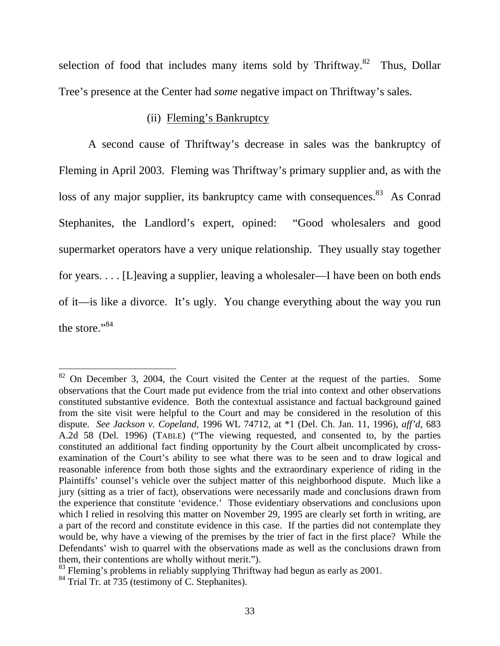selection of food that includes many items sold by Thriftway.<sup>82</sup> Thus, Dollar Tree's presence at the Center had *some* negative impact on Thriftway's sales.

## (ii) Fleming's Bankruptcy

A second cause of Thriftway's decrease in sales was the bankruptcy of Fleming in April 2003. Fleming was Thriftway's primary supplier and, as with the loss of any major supplier, its bankruptcy came with consequences.<sup>83</sup> As Conrad Stephanites, the Landlord's expert, opined: "Good wholesalers and good supermarket operators have a very unique relationship. They usually stay together for years. . . . [L]eaving a supplier, leaving a wholesaler—I have been on both ends of it—is like a divorce. It's ugly. You change everything about the way you run the store."<sup>84</sup>

 $82$  On December 3, 2004, the Court visited the Center at the request of the parties. Some observations that the Court made put evidence from the trial into context and other observations constituted substantive evidence. Both the contextual assistance and factual background gained from the site visit were helpful to the Court and may be considered in the resolution of this dispute. *See Jackson v. Copeland*, 1996 WL 74712, at \*1 (Del. Ch. Jan. 11, 1996), *aff'd*, 683 A.2d 58 (Del. 1996) (TABLE) ("The viewing requested, and consented to, by the parties constituted an additional fact finding opportunity by the Court albeit uncomplicated by crossexamination of the Court's ability to see what there was to be seen and to draw logical and reasonable inference from both those sights and the extraordinary experience of riding in the Plaintiffs' counsel's vehicle over the subject matter of this neighborhood dispute. Much like a jury (sitting as a trier of fact), observations were necessarily made and conclusions drawn from the experience that constitute 'evidence.' Those evidentiary observations and conclusions upon which I relied in resolving this matter on November 29, 1995 are clearly set forth in writing, are a part of the record and constitute evidence in this case. If the parties did not contemplate they would be, why have a viewing of the premises by the trier of fact in the first place? While the Defendants' wish to quarrel with the observations made as well as the conclusions drawn from them, their contentions are wholly without merit.").

 $83$  Fleming's problems in reliably supplying Thriftway had begun as early as 2001.

<sup>&</sup>lt;sup>84</sup> Trial Tr. at 735 (testimony of C. Stephanites).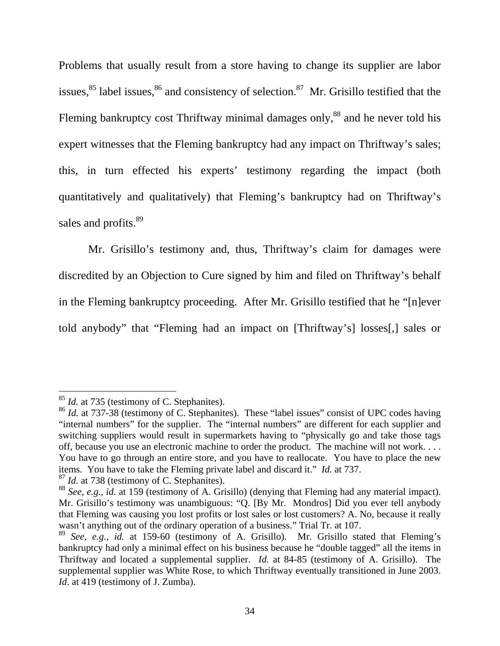Problems that usually result from a store having to change its supplier are labor issues,  $85$  label issues,  $86$  and consistency of selection.  $87$  Mr. Grisillo testified that the Fleming bankruptcy cost Thriftway minimal damages only,<sup>88</sup> and he never told his expert witnesses that the Fleming bankruptcy had any impact on Thriftway's sales; this, in turn effected his experts' testimony regarding the impact (both quantitatively and qualitatively) that Fleming's bankruptcy had on Thriftway's sales and profits.<sup>89</sup>

 Mr. Grisillo's testimony and, thus, Thriftway's claim for damages were discredited by an Objection to Cure signed by him and filed on Thriftway's behalf in the Fleming bankruptcy proceeding. After Mr. Grisillo testified that he "[n]ever told anybody" that "Fleming had an impact on [Thriftway's] losses[,] sales or

<sup>&</sup>lt;sup>85</sup> *Id.* at 735 (testimony of C. Stephanites).

<sup>&</sup>lt;sup>86</sup> *Id.* at 737-38 (testimony of C. Stephanites). These "label issues" consist of UPC codes having "internal numbers" for the supplier. The "internal numbers" are different for each supplier and switching suppliers would result in supermarkets having to "physically go and take those tags off, because you use an electronic machine to order the product. The machine will not work. . . . You have to go through an entire store, and you have to reallocate. You have to place the new items. You have to take the Fleming private label and discard it." *Id.* at 737.

<sup>87</sup> *Id.* at 738 (testimony of C. Stephanites).

<sup>88</sup> *See, e.g.*, *id.* at 159 (testimony of A. Grisillo) (denying that Fleming had any material impact). Mr. Grisillo's testimony was unambiguous: "Q. [By Mr. Mondros] Did you ever tell anybody that Fleming was causing you lost profits or lost sales or lost customers? A. No, because it really wasn't anything out of the ordinary operation of a business." Trial Tr. at 107.

<sup>89</sup> *See, e.g.*, *id.* at 159-60 (testimony of A. Grisillo). Mr. Grisillo stated that Fleming's bankruptcy had only a minimal effect on his business because he "double tagged" all the items in Thriftway and located a supplemental supplier. *Id.* at 84-85 (testimony of A. Grisillo). The supplemental supplier was White Rose, to which Thriftway eventually transitioned in June 2003. *Id.* at 419 (testimony of J. Zumba).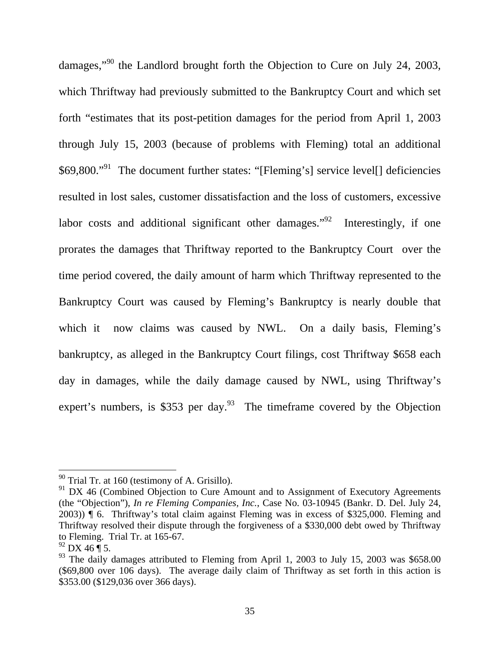damages,"90 the Landlord brought forth the Objection to Cure on July 24, 2003, which Thriftway had previously submitted to the Bankruptcy Court and which set forth "estimates that its post-petition damages for the period from April 1, 2003 through July 15, 2003 (because of problems with Fleming) total an additional \$69,800."<sup>91</sup> The document further states: "[Fleming's] service level[] deficiencies resulted in lost sales, customer dissatisfaction and the loss of customers, excessive labor costs and additional significant other damages.<sup> $\frac{92}{2}$ </sup> Interestingly, if one prorates the damages that Thriftway reported to the Bankruptcy Court over the time period covered, the daily amount of harm which Thriftway represented to the Bankruptcy Court was caused by Fleming's Bankruptcy is nearly double that which it now claims was caused by NWL. On a daily basis, Fleming's bankruptcy, as alleged in the Bankruptcy Court filings, cost Thriftway \$658 each day in damages, while the daily damage caused by NWL, using Thriftway's expert's numbers, is \$353 per day.<sup>93</sup> The timeframe covered by the Objection

 $90$  Trial Tr. at 160 (testimony of A. Grisillo).

<sup>&</sup>lt;sup>91</sup> DX 46 (Combined Objection to Cure Amount and to Assignment of Executory Agreements (the "Objection"), *In re Fleming Companies, Inc.*, Case No. 03-10945 (Bankr. D. Del. July 24, 2003)) ¶ 6. Thriftway's total claim against Fleming was in excess of \$325,000. Fleming and Thriftway resolved their dispute through the forgiveness of a \$330,000 debt owed by Thriftway to Fleming. Trial Tr. at 165-67.

 $92$  DX 46  $\bar{$  5.

 $93$  The daily damages attributed to Fleming from April 1, 2003 to July 15, 2003 was \$658.00 (\$69,800 over 106 days). The average daily claim of Thriftway as set forth in this action is \$353.00 (\$129,036 over 366 days).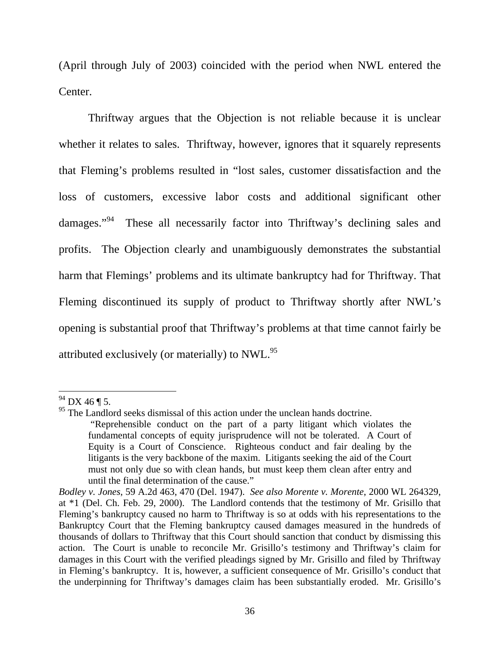(April through July of 2003) coincided with the period when NWL entered the Center.

 Thriftway argues that the Objection is not reliable because it is unclear whether it relates to sales. Thriftway, however, ignores that it squarely represents that Fleming's problems resulted in "lost sales, customer dissatisfaction and the loss of customers, excessive labor costs and additional significant other damages."<sup>94</sup> These all necessarily factor into Thriftway's declining sales and profits. The Objection clearly and unambiguously demonstrates the substantial harm that Flemings' problems and its ultimate bankruptcy had for Thriftway. That Fleming discontinued its supply of product to Thriftway shortly after NWL's opening is substantial proof that Thriftway's problems at that time cannot fairly be attributed exclusively (or materially) to  $NWL<sup>95</sup>$ 

 $94$  DX 46 ¶ 5.

<sup>&</sup>lt;sup>95</sup> The Landlord seeks dismissal of this action under the unclean hands doctrine. "Reprehensible conduct on the part of a party litigant which violates the

fundamental concepts of equity jurisprudence will not be tolerated. A Court of Equity is a Court of Conscience. Righteous conduct and fair dealing by the litigants is the very backbone of the maxim. Litigants seeking the aid of the Court must not only due so with clean hands, but must keep them clean after entry and until the final determination of the cause."

*Bodley v. Jones*, 59 A.2d 463, 470 (Del. 1947). *See also Morente v. Morente*, 2000 WL 264329, at \*1 (Del. Ch. Feb. 29, 2000). The Landlord contends that the testimony of Mr. Grisillo that Fleming's bankruptcy caused no harm to Thriftway is so at odds with his representations to the Bankruptcy Court that the Fleming bankruptcy caused damages measured in the hundreds of thousands of dollars to Thriftway that this Court should sanction that conduct by dismissing this action. The Court is unable to reconcile Mr. Grisillo's testimony and Thriftway's claim for damages in this Court with the verified pleadings signed by Mr. Grisillo and filed by Thriftway in Fleming's bankruptcy. It is, however, a sufficient consequence of Mr. Grisillo's conduct that the underpinning for Thriftway's damages claim has been substantially eroded. Mr. Grisillo's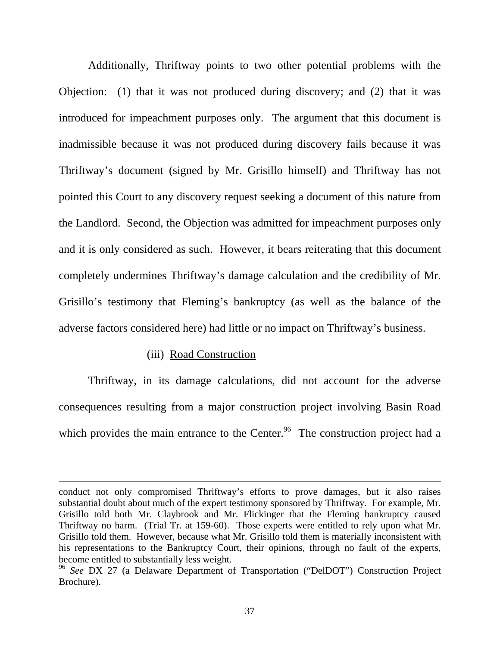Additionally, Thriftway points to two other potential problems with the Objection: (1) that it was not produced during discovery; and (2) that it was introduced for impeachment purposes only. The argument that this document is inadmissible because it was not produced during discovery fails because it was Thriftway's document (signed by Mr. Grisillo himself) and Thriftway has not pointed this Court to any discovery request seeking a document of this nature from the Landlord. Second, the Objection was admitted for impeachment purposes only and it is only considered as such. However, it bears reiterating that this document completely undermines Thriftway's damage calculation and the credibility of Mr. Grisillo's testimony that Fleming's bankruptcy (as well as the balance of the adverse factors considered here) had little or no impact on Thriftway's business.

### (iii) Road Construction

 $\overline{a}$ 

 Thriftway, in its damage calculations, did not account for the adverse consequences resulting from a major construction project involving Basin Road which provides the main entrance to the Center.<sup>96</sup> The construction project had a

conduct not only compromised Thriftway's efforts to prove damages, but it also raises substantial doubt about much of the expert testimony sponsored by Thriftway. For example, Mr. Grisillo told both Mr. Claybrook and Mr. Flickinger that the Fleming bankruptcy caused Thriftway no harm. (Trial Tr. at 159-60). Those experts were entitled to rely upon what Mr. Grisillo told them. However, because what Mr. Grisillo told them is materially inconsistent with his representations to the Bankruptcy Court, their opinions, through no fault of the experts, become entitled to substantially less weight.

<sup>&</sup>lt;sup>96</sup> See DX 27 (a Delaware Department of Transportation ("DelDOT") Construction Project Brochure).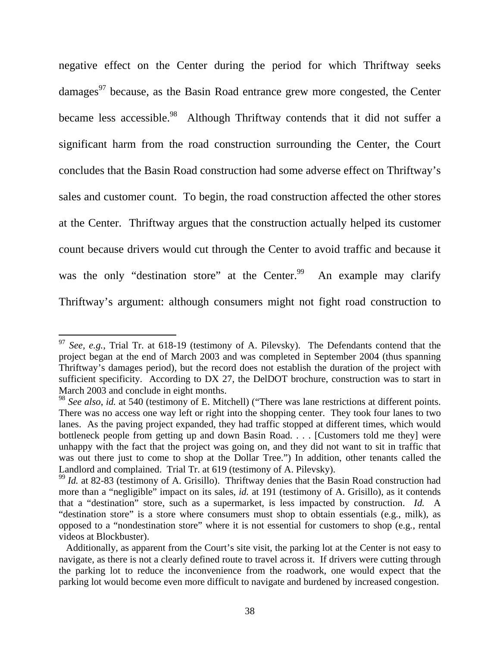negative effect on the Center during the period for which Thriftway seeks damages<sup>97</sup> because, as the Basin Road entrance grew more congested, the Center became less accessible.<sup>98</sup> Although Thriftway contends that it did not suffer a significant harm from the road construction surrounding the Center, the Court concludes that the Basin Road construction had some adverse effect on Thriftway's sales and customer count. To begin, the road construction affected the other stores at the Center. Thriftway argues that the construction actually helped its customer count because drivers would cut through the Center to avoid traffic and because it was the only "destination store" at the Center.<sup>99</sup> An example may clarify Thriftway's argument: although consumers might not fight road construction to

<sup>97</sup> *See, e.g.*, Trial Tr. at 618-19 (testimony of A. Pilevsky). The Defendants contend that the project began at the end of March 2003 and was completed in September 2004 (thus spanning Thriftway's damages period), but the record does not establish the duration of the project with sufficient specificity. According to DX 27, the DelDOT brochure, construction was to start in March 2003 and conclude in eight months.

<sup>&</sup>lt;sup>98</sup> See also, *id.* at 540 (testimony of E. Mitchell) ("There was lane restrictions at different points. There was no access one way left or right into the shopping center. They took four lanes to two lanes. As the paving project expanded, they had traffic stopped at different times, which would bottleneck people from getting up and down Basin Road. . . . [Customers told me they] were unhappy with the fact that the project was going on, and they did not want to sit in traffic that was out there just to come to shop at the Dollar Tree.") In addition, other tenants called the Landlord and complained. Trial Tr. at 619 (testimony of A. Pilevsky).

<sup>&</sup>lt;sup>99</sup> *Id.* at 82-83 (testimony of A. Grisillo). Thriftway denies that the Basin Road construction had more than a "negligible" impact on its sales, *id.* at 191 (testimony of A. Grisillo), as it contends that a "destination" store, such as a supermarket, is less impacted by construction. *Id.* A "destination store" is a store where consumers must shop to obtain essentials (e.g*.*, milk), as opposed to a "nondestination store" where it is not essential for customers to shop (e.g*.*, rental videos at Blockbuster).

Additionally, as apparent from the Court's site visit, the parking lot at the Center is not easy to navigate, as there is not a clearly defined route to travel across it. If drivers were cutting through the parking lot to reduce the inconvenience from the roadwork, one would expect that the parking lot would become even more difficult to navigate and burdened by increased congestion.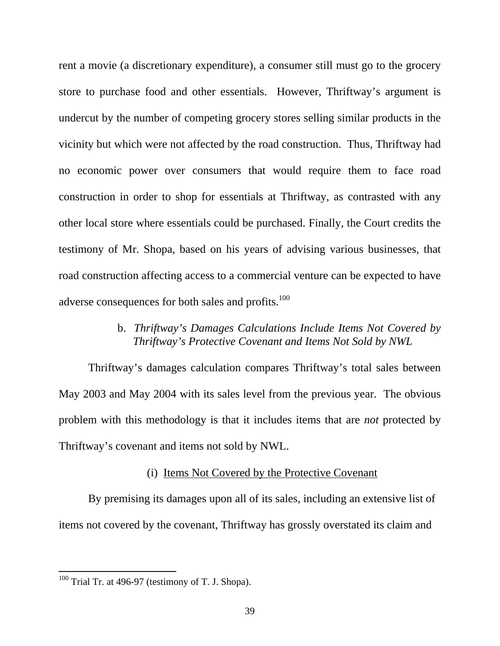rent a movie (a discretionary expenditure), a consumer still must go to the grocery store to purchase food and other essentials. However, Thriftway's argument is undercut by the number of competing grocery stores selling similar products in the vicinity but which were not affected by the road construction. Thus, Thriftway had no economic power over consumers that would require them to face road construction in order to shop for essentials at Thriftway, as contrasted with any other local store where essentials could be purchased. Finally, the Court credits the testimony of Mr. Shopa, based on his years of advising various businesses, that road construction affecting access to a commercial venture can be expected to have adverse consequences for both sales and profits.<sup>100</sup>

## b. *Thriftway's Damages Calculations Include Items Not Covered by Thriftway's Protective Covenant and Items Not Sold by NWL*

Thriftway's damages calculation compares Thriftway's total sales between May 2003 and May 2004 with its sales level from the previous year. The obvious problem with this methodology is that it includes items that are *not* protected by Thriftway's covenant and items not sold by NWL.

## (i) Items Not Covered by the Protective Covenant

 By premising its damages upon all of its sales, including an extensive list of items not covered by the covenant, Thriftway has grossly overstated its claim and

 $100$  Trial Tr. at 496-97 (testimony of T. J. Shopa).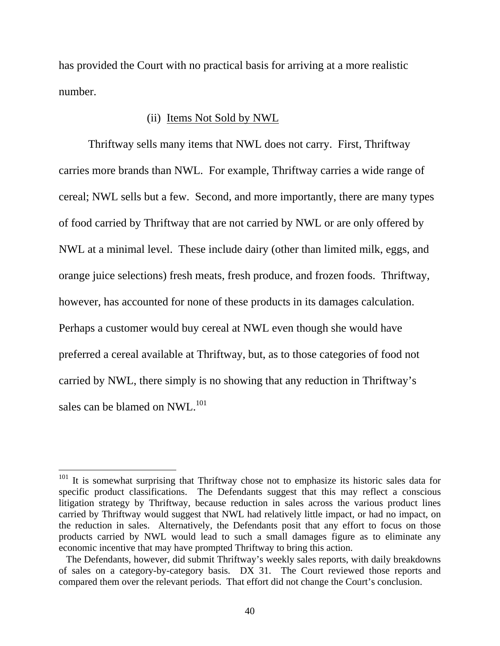has provided the Court with no practical basis for arriving at a more realistic number.

## (ii) Items Not Sold by NWL

Thriftway sells many items that NWL does not carry. First, Thriftway carries more brands than NWL. For example, Thriftway carries a wide range of cereal; NWL sells but a few. Second, and more importantly, there are many types of food carried by Thriftway that are not carried by NWL or are only offered by NWL at a minimal level. These include dairy (other than limited milk, eggs, and orange juice selections) fresh meats, fresh produce, and frozen foods. Thriftway, however, has accounted for none of these products in its damages calculation. Perhaps a customer would buy cereal at NWL even though she would have preferred a cereal available at Thriftway, but, as to those categories of food not carried by NWL, there simply is no showing that any reduction in Thriftway's sales can be blamed on NWL.<sup>101</sup>

<sup>&</sup>lt;sup>101</sup> It is somewhat surprising that Thriftway chose not to emphasize its historic sales data for specific product classifications. The Defendants suggest that this may reflect a conscious litigation strategy by Thriftway, because reduction in sales across the various product lines carried by Thriftway would suggest that NWL had relatively little impact, or had no impact, on the reduction in sales. Alternatively, the Defendants posit that any effort to focus on those products carried by NWL would lead to such a small damages figure as to eliminate any economic incentive that may have prompted Thriftway to bring this action.

The Defendants, however, did submit Thriftway's weekly sales reports, with daily breakdowns of sales on a category-by-category basis. DX 31. The Court reviewed those reports and compared them over the relevant periods. That effort did not change the Court's conclusion.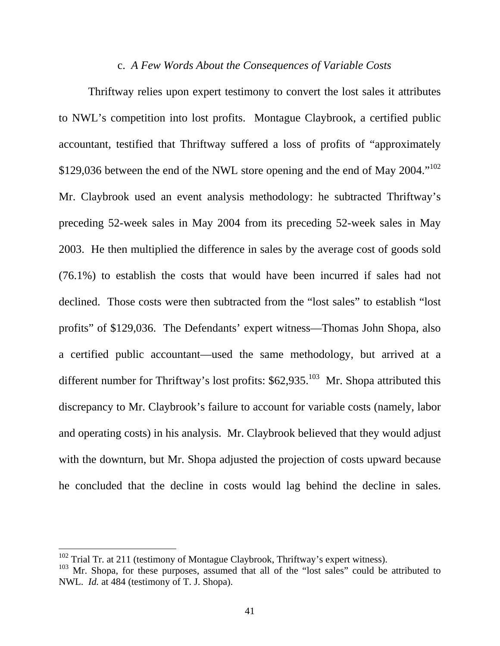#### c. *A Few Words About the Consequences of Variable Costs*

Thriftway relies upon expert testimony to convert the lost sales it attributes to NWL's competition into lost profits. Montague Claybrook, a certified public accountant, testified that Thriftway suffered a loss of profits of "approximately \$129,036 between the end of the NWL store opening and the end of May 2004."<sup>102</sup> Mr. Claybrook used an event analysis methodology: he subtracted Thriftway's preceding 52-week sales in May 2004 from its preceding 52-week sales in May 2003. He then multiplied the difference in sales by the average cost of goods sold (76.1%) to establish the costs that would have been incurred if sales had not declined. Those costs were then subtracted from the "lost sales" to establish "lost profits" of \$129,036. The Defendants' expert witness—Thomas John Shopa, also a certified public accountant—used the same methodology, but arrived at a different number for Thriftway's lost profits:  $$62,935$ <sup>103</sup> Mr. Shopa attributed this discrepancy to Mr. Claybrook's failure to account for variable costs (namely, labor and operating costs) in his analysis. Mr. Claybrook believed that they would adjust with the downturn, but Mr. Shopa adjusted the projection of costs upward because he concluded that the decline in costs would lag behind the decline in sales.

 $102$  Trial Tr. at 211 (testimony of Montague Claybrook, Thriftway's expert witness).

 $103$  Mr. Shopa, for these purposes, assumed that all of the "lost sales" could be attributed to NWL. *Id.* at 484 (testimony of T. J. Shopa).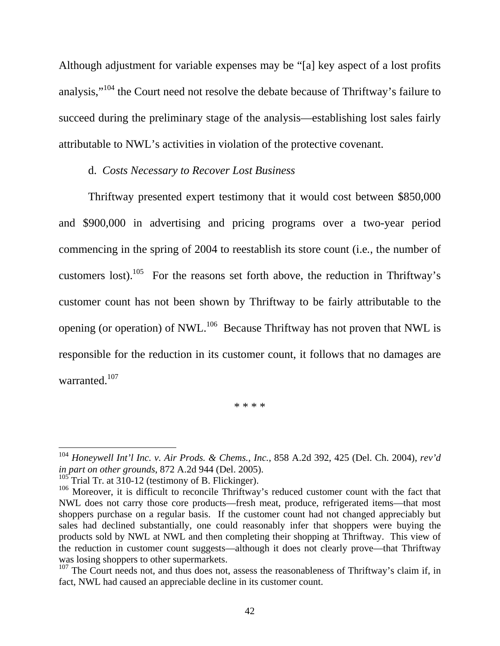Although adjustment for variable expenses may be "[a] key aspect of a lost profits analysis,"104 the Court need not resolve the debate because of Thriftway's failure to succeed during the preliminary stage of the analysis—establishing lost sales fairly attributable to NWL's activities in violation of the protective covenant.

### d. *Costs Necessary to Recover Lost Business*

Thriftway presented expert testimony that it would cost between \$850,000 and \$900,000 in advertising and pricing programs over a two-year period commencing in the spring of 2004 to reestablish its store count (i.e*.*, the number of customers lost).<sup>105</sup> For the reasons set forth above, the reduction in Thriftway's customer count has not been shown by Thriftway to be fairly attributable to the opening (or operation) of NWL.<sup>106</sup> Because Thriftway has not proven that NWL is responsible for the reduction in its customer count, it follows that no damages are warranted.<sup>107</sup>

\* \* \* \*

<sup>104</sup> *Honeywell Int'l Inc. v. Air Prods. & Chems., Inc.*, 858 A.2d 392, 425 (Del. Ch. 2004), *rev'd in part on other grounds*, 872 A.2d 944 (Del. 2005).

 $105$  Trial Tr. at 310-12 (testimony of B. Flickinger).

 $106$  Moreover, it is difficult to reconcile Thriftway's reduced customer count with the fact that NWL does not carry those core products—fresh meat, produce, refrigerated items—that most shoppers purchase on a regular basis. If the customer count had not changed appreciably but sales had declined substantially, one could reasonably infer that shoppers were buying the products sold by NWL at NWL and then completing their shopping at Thriftway. This view of the reduction in customer count suggests—although it does not clearly prove—that Thriftway was losing shoppers to other supermarkets.

 $107$  The Court needs not, and thus does not, assess the reasonableness of Thriftway's claim if, in fact, NWL had caused an appreciable decline in its customer count.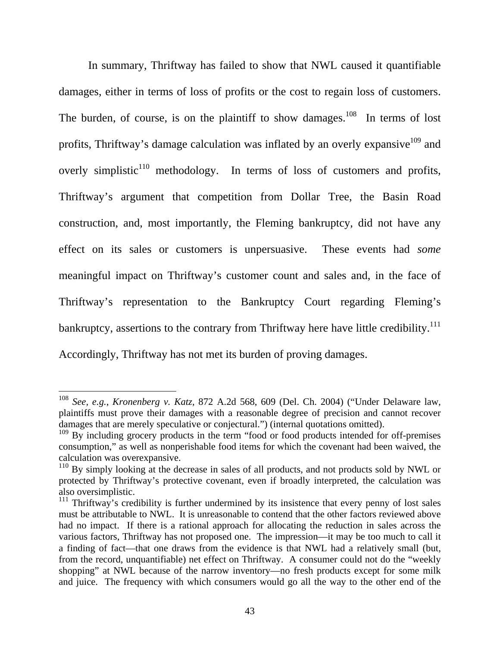In summary, Thriftway has failed to show that NWL caused it quantifiable damages, either in terms of loss of profits or the cost to regain loss of customers. The burden, of course, is on the plaintiff to show damages.<sup>108</sup> In terms of lost profits, Thriftway's damage calculation was inflated by an overly expansive<sup>109</sup> and overly simplistic $110$  methodology. In terms of loss of customers and profits, Thriftway's argument that competition from Dollar Tree, the Basin Road construction, and, most importantly, the Fleming bankruptcy, did not have any effect on its sales or customers is unpersuasive. These events had *some* meaningful impact on Thriftway's customer count and sales and, in the face of Thriftway's representation to the Bankruptcy Court regarding Fleming's bankruptcy, assertions to the contrary from Thriftway here have little credibility.<sup>111</sup> Accordingly, Thriftway has not met its burden of proving damages.

<sup>108</sup> *See, e.g.*, *Kronenberg v. Katz*, 872 A.2d 568, 609 (Del. Ch. 2004) ("Under Delaware law, plaintiffs must prove their damages with a reasonable degree of precision and cannot recover damages that are merely speculative or conjectural.") (internal quotations omitted).

<sup>&</sup>lt;sup>109</sup> By including grocery products in the term "food or food products intended for off-premises consumption," as well as nonperishable food items for which the covenant had been waived, the calculation was overexpansive.

 $110$  By simply looking at the decrease in sales of all products, and not products sold by NWL or protected by Thriftway's protective covenant, even if broadly interpreted, the calculation was also oversimplistic.

<sup>&</sup>lt;sup>111</sup> Thriftway's credibility is further undermined by its insistence that every penny of lost sales must be attributable to NWL. It is unreasonable to contend that the other factors reviewed above had no impact. If there is a rational approach for allocating the reduction in sales across the various factors, Thriftway has not proposed one. The impression—it may be too much to call it a finding of fact—that one draws from the evidence is that NWL had a relatively small (but, from the record, unquantifiable) net effect on Thriftway. A consumer could not do the "weekly shopping" at NWL because of the narrow inventory—no fresh products except for some milk and juice. The frequency with which consumers would go all the way to the other end of the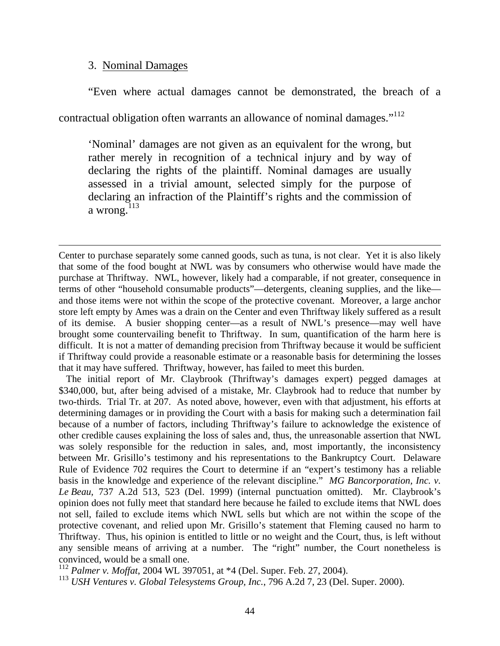#### 3. Nominal Damages

 $\overline{a}$ 

 "Even where actual damages cannot be demonstrated, the breach of a contractual obligation often warrants an allowance of nominal damages."<sup>112</sup>

'Nominal' damages are not given as an equivalent for the wrong, but rather merely in recognition of a technical injury and by way of declaring the rights of the plaintiff. Nominal damages are usually assessed in a trivial amount, selected simply for the purpose of declaring an infraction of the Plaintiff's rights and the commission of a wrong. $113$ 

Center to purchase separately some canned goods, such as tuna, is not clear. Yet it is also likely that some of the food bought at NWL was by consumers who otherwise would have made the purchase at Thriftway. NWL, however, likely had a comparable, if not greater, consequence in terms of other "household consumable products"—detergents, cleaning supplies, and the like and those items were not within the scope of the protective covenant. Moreover, a large anchor store left empty by Ames was a drain on the Center and even Thriftway likely suffered as a result of its demise. A busier shopping center—as a result of NWL's presence—may well have brought some countervailing benefit to Thriftway. In sum, quantification of the harm here is difficult. It is not a matter of demanding precision from Thriftway because it would be sufficient if Thriftway could provide a reasonable estimate or a reasonable basis for determining the losses that it may have suffered. Thriftway, however, has failed to meet this burden.

 The initial report of Mr. Claybrook (Thriftway's damages expert) pegged damages at \$340,000, but, after being advised of a mistake, Mr. Claybrook had to reduce that number by two-thirds. Trial Tr. at 207. As noted above, however, even with that adjustment, his efforts at determining damages or in providing the Court with a basis for making such a determination fail because of a number of factors, including Thriftway's failure to acknowledge the existence of other credible causes explaining the loss of sales and, thus, the unreasonable assertion that NWL was solely responsible for the reduction in sales, and, most importantly, the inconsistency between Mr. Grisillo's testimony and his representations to the Bankruptcy Court. Delaware Rule of Evidence 702 requires the Court to determine if an "expert's testimony has a reliable basis in the knowledge and experience of the relevant discipline." *MG Bancorporation, Inc. v. Le Beau*, 737 A.2d 513, 523 (Del. 1999) (internal punctuation omitted). Mr. Claybrook's opinion does not fully meet that standard here because he failed to exclude items that NWL does not sell, failed to exclude items which NWL sells but which are not within the scope of the protective covenant, and relied upon Mr. Grisillo's statement that Fleming caused no harm to Thriftway. Thus, his opinion is entitled to little or no weight and the Court, thus, is left without any sensible means of arriving at a number. The "right" number, the Court nonetheless is convinced, would be a small one.

<sup>112</sup> *Palmer v. Moffat*, 2004 WL 397051, at \*4 (Del. Super. Feb. 27, 2004).

<sup>113</sup> *USH Ventures v. Global Telesystems Group, Inc.*, 796 A.2d 7, 23 (Del. Super. 2000).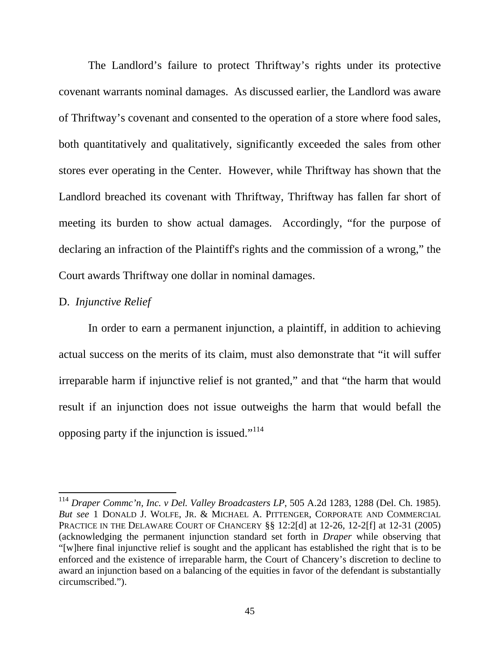The Landlord's failure to protect Thriftway's rights under its protective covenant warrants nominal damages. As discussed earlier, the Landlord was aware of Thriftway's covenant and consented to the operation of a store where food sales, both quantitatively and qualitatively, significantly exceeded the sales from other stores ever operating in the Center. However, while Thriftway has shown that the Landlord breached its covenant with Thriftway, Thriftway has fallen far short of meeting its burden to show actual damages. Accordingly, "for the purpose of declaring an infraction of the Plaintiff's rights and the commission of a wrong," the Court awards Thriftway one dollar in nominal damages.

## D. *Injunctive Relief*

 $\overline{a}$ 

In order to earn a permanent injunction, a plaintiff, in addition to achieving actual success on the merits of its claim, must also demonstrate that "it will suffer irreparable harm if injunctive relief is not granted," and that "the harm that would result if an injunction does not issue outweighs the harm that would befall the opposing party if the injunction is issued."<sup>114</sup>

<sup>114</sup> *Draper Commc'n, Inc. v Del. Valley Broadcasters LP*, 505 A.2d 1283, 1288 (Del. Ch. 1985). *But see* 1 DONALD J. WOLFE, JR. & MICHAEL A. PITTENGER, CORPORATE AND COMMERCIAL PRACTICE IN THE DELAWARE COURT OF CHANCERY §§ 12:2[d] at 12-26, 12-2[f] at 12-31 (2005) (acknowledging the permanent injunction standard set forth in *Draper* while observing that "[w]here final injunctive relief is sought and the applicant has established the right that is to be enforced and the existence of irreparable harm, the Court of Chancery's discretion to decline to award an injunction based on a balancing of the equities in favor of the defendant is substantially circumscribed.").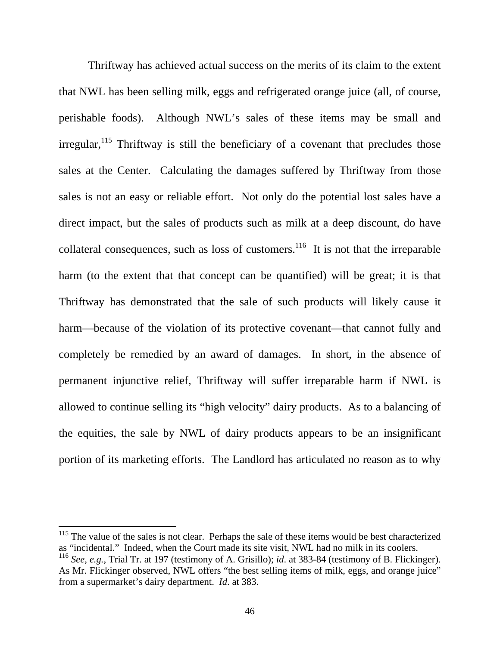Thriftway has achieved actual success on the merits of its claim to the extent that NWL has been selling milk, eggs and refrigerated orange juice (all, of course, perishable foods). Although NWL's sales of these items may be small and  $irregular$ <sup>115</sup>, Thriftway is still the beneficiary of a covenant that precludes those sales at the Center. Calculating the damages suffered by Thriftway from those sales is not an easy or reliable effort. Not only do the potential lost sales have a direct impact, but the sales of products such as milk at a deep discount, do have collateral consequences, such as loss of customers.<sup>116</sup> It is not that the irreparable harm (to the extent that that concept can be quantified) will be great; it is that Thriftway has demonstrated that the sale of such products will likely cause it harm—because of the violation of its protective covenant—that cannot fully and completely be remedied by an award of damages. In short, in the absence of permanent injunctive relief, Thriftway will suffer irreparable harm if NWL is allowed to continue selling its "high velocity" dairy products. As to a balancing of the equities, the sale by NWL of dairy products appears to be an insignificant portion of its marketing efforts. The Landlord has articulated no reason as to why

<sup>&</sup>lt;sup>115</sup> The value of the sales is not clear. Perhaps the sale of these items would be best characterized as "incidental." Indeed, when the Court made its site visit, NWL had no milk in its coolers.

<sup>116</sup> *See, e.g.*, Trial Tr. at 197 (testimony of A. Grisillo); *id*. at 383-84 (testimony of B. Flickinger). As Mr. Flickinger observed, NWL offers "the best selling items of milk, eggs, and orange juice" from a supermarket's dairy department. *Id*. at 383.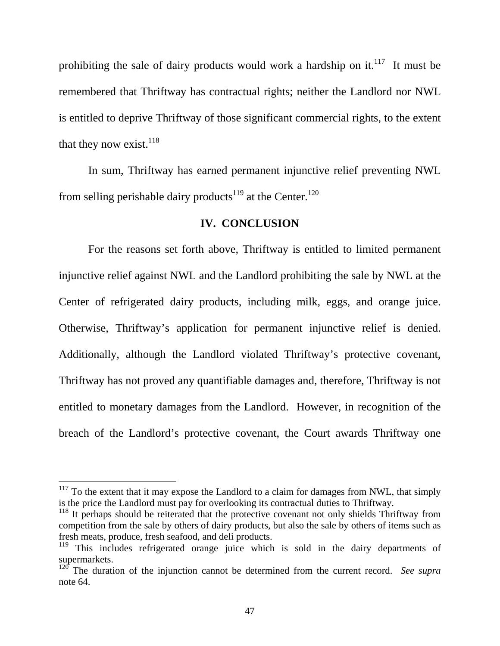prohibiting the sale of dairy products would work a hardship on it.<sup>117</sup> It must be remembered that Thriftway has contractual rights; neither the Landlord nor NWL is entitled to deprive Thriftway of those significant commercial rights, to the extent that they now exist.  $118$ 

 In sum, Thriftway has earned permanent injunctive relief preventing NWL from selling perishable dairy products<sup>119</sup> at the Center.<sup>120</sup>

### **IV. CONCLUSION**

For the reasons set forth above, Thriftway is entitled to limited permanent injunctive relief against NWL and the Landlord prohibiting the sale by NWL at the Center of refrigerated dairy products, including milk, eggs, and orange juice. Otherwise, Thriftway's application for permanent injunctive relief is denied. Additionally, although the Landlord violated Thriftway's protective covenant, Thriftway has not proved any quantifiable damages and, therefore, Thriftway is not entitled to monetary damages from the Landlord. However, in recognition of the breach of the Landlord's protective covenant, the Court awards Thriftway one

 $117$  To the extent that it may expose the Landlord to a claim for damages from NWL, that simply is the price the Landlord must pay for overlooking its contractual duties to Thriftway.

 $118$  It perhaps should be reiterated that the protective covenant not only shields Thriftway from competition from the sale by others of dairy products, but also the sale by others of items such as fresh meats, produce, fresh seafood, and deli products.

<sup>&</sup>lt;sup>119</sup> This includes refrigerated orange juice which is sold in the dairy departments of supermarkets.

<sup>&</sup>lt;sup>120</sup> The duration of the injunction cannot be determined from the current record. *See supra* note 64.